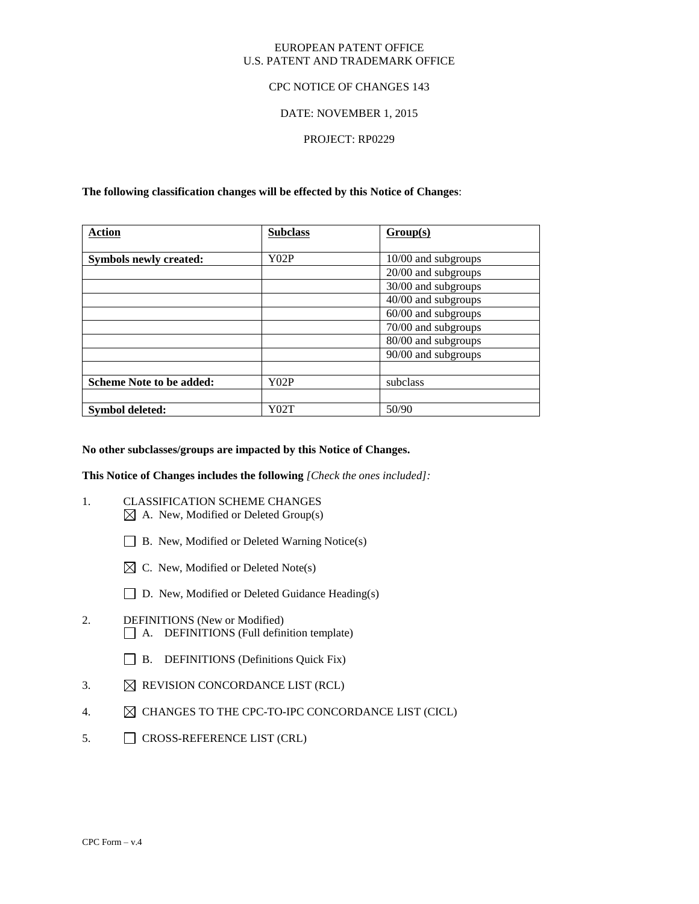### EUROPEAN PATENT OFFICE U.S. PATENT AND TRADEMARK OFFICE

## CPC NOTICE OF CHANGES 143

## DATE: NOVEMBER 1, 2015

## PROJECT: RP0229

## **The following classification changes will be effected by this Notice of Changes**:

| <b>Action</b>                   | <b>Subclass</b> | Group(s)            |
|---------------------------------|-----------------|---------------------|
|                                 |                 |                     |
| <b>Symbols newly created:</b>   | Y02P            | 10/00 and subgroups |
|                                 |                 | 20/00 and subgroups |
|                                 |                 | 30/00 and subgroups |
|                                 |                 | 40/00 and subgroups |
|                                 |                 | 60/00 and subgroups |
|                                 |                 | 70/00 and subgroups |
|                                 |                 | 80/00 and subgroups |
|                                 |                 | 90/00 and subgroups |
|                                 |                 |                     |
| <b>Scheme Note to be added:</b> | Y02P            | subclass            |
|                                 |                 |                     |
| Symbol deleted:                 | Y02T            | 50/90               |

### **No other subclasses/groups are impacted by this Notice of Changes.**

**This Notice of Changes includes the following** *[Check the ones included]:*

- 1. CLASSIFICATION SCHEME CHANGES  $\boxtimes$  A. New, Modified or Deleted Group(s)
	- B. New, Modified or Deleted Warning Notice(s)
	- $\boxtimes$  C. New, Modified or Deleted Note(s)
	- □ D. New, Modified or Deleted Guidance Heading(s)
- 2. DEFINITIONS (New or Modified) A. DEFINITIONS (Full definition template)
	- B. DEFINITIONS (Definitions Quick Fix)
- 3.  $\boxtimes$  REVISION CONCORDANCE LIST (RCL)
- 4.  $\boxtimes$  CHANGES TO THE CPC-TO-IPC CONCORDANCE LIST (CICL)
- 5. CROSS-REFERENCE LIST (CRL)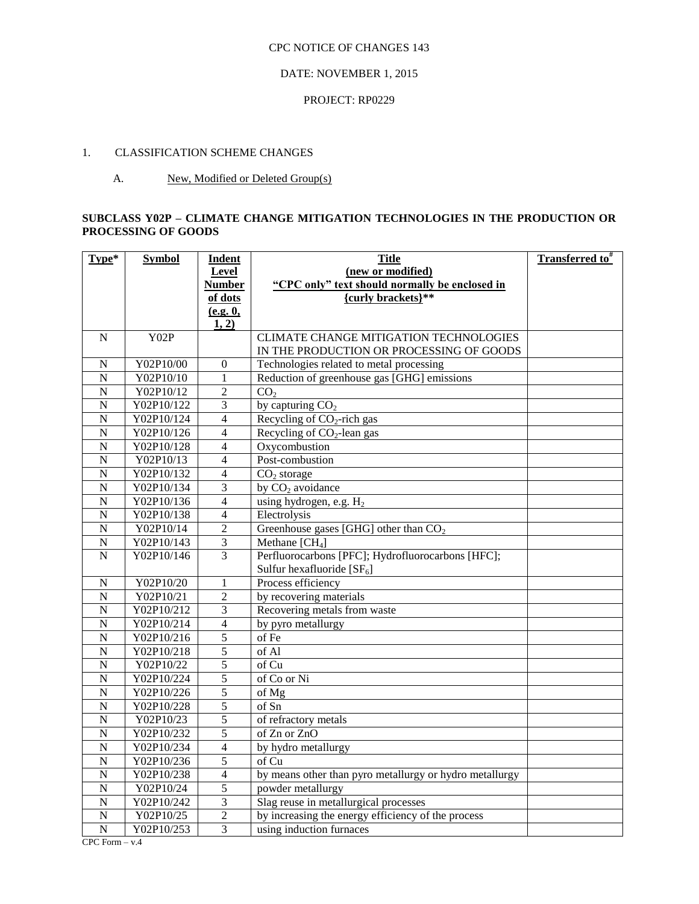## DATE: NOVEMBER 1, 2015

### PROJECT: RP0229

# 1. CLASSIFICATION SCHEME CHANGES

## A. New, Modified or Deleted Group(s)

# **SUBCLASS Y02P – CLIMATE CHANGE MITIGATION TECHNOLOGIES IN THE PRODUCTION OR PROCESSING OF GOODS**

| Type*              | <b>Symbol</b>          | <b>Indent</b>                    | <b>Title</b>                                                                            | <b>Transferred to</b> <sup>#</sup> |
|--------------------|------------------------|----------------------------------|-----------------------------------------------------------------------------------------|------------------------------------|
|                    |                        | Level                            | (new or modified)                                                                       |                                    |
|                    |                        | <b>Number</b>                    | "CPC only" text should normally be enclosed in                                          |                                    |
|                    |                        | of dots                          | {curly brackets}**                                                                      |                                    |
|                    |                        | (e.g. 0,                         |                                                                                         |                                    |
|                    |                        | 1, 2)                            |                                                                                         |                                    |
| $\mathbf N$        | Y02P                   |                                  | CLIMATE CHANGE MITIGATION TECHNOLOGIES                                                  |                                    |
|                    |                        |                                  | IN THE PRODUCTION OR PROCESSING OF GOODS                                                |                                    |
| N<br>$\mathbf N$   | Y02P10/00<br>Y02P10/10 | $\boldsymbol{0}$<br>$\mathbf{1}$ | Technologies related to metal processing<br>Reduction of greenhouse gas [GHG] emissions |                                    |
| $\overline{N}$     | Y02P10/12              | $\overline{2}$                   | CO <sub>2</sub>                                                                         |                                    |
| $\overline{N}$     | Y02P10/122             | 3                                | by capturing $CO2$                                                                      |                                    |
| $\mathbf N$        | Y02P10/124             | $\overline{4}$                   | Recycling of $CO2$ -rich gas                                                            |                                    |
| $\overline{N}$     | Y02P10/126             | $\overline{4}$                   | Recycling of CO <sub>2</sub> -lean gas                                                  |                                    |
| $\overline{N}$     | Y02P10/128             | $\overline{4}$                   | Oxycombustion                                                                           |                                    |
| $\overline{N}$     | Y02P10/13              | 4                                | Post-combustion                                                                         |                                    |
| $\overline{N}$     | Y02P10/132             | 4                                | CO <sub>2</sub> storage                                                                 |                                    |
| $\mathbf N$        | Y02P10/134             | $\overline{3}$                   | by CO <sub>2</sub> avoidance                                                            |                                    |
| $\overline{N}$     | Y02P10/136             | $\overline{4}$                   | using hydrogen, e.g. $H_2$                                                              |                                    |
| $\mathbf N$        | Y02P10/138             | $\overline{4}$                   | Electrolysis                                                                            |                                    |
| $\overline{N}$     | Y02P10/14              | $\overline{2}$                   | Greenhouse gases [GHG] other than $CO2$                                                 |                                    |
| $\overline{N}$     | Y02P10/143             | $\overline{\mathbf{3}}$          | Methane [CH <sub>4</sub> ]                                                              |                                    |
| $\mathbf N$        | Y02P10/146             | 3                                | Perfluorocarbons [PFC]; Hydrofluorocarbons [HFC];                                       |                                    |
|                    |                        |                                  | Sulfur hexafluoride [SF <sub>6</sub> ]                                                  |                                    |
| N                  | Y02P10/20              | $\mathbf{1}$                     | Process efficiency                                                                      |                                    |
| ${\bf N}$          | Y02P10/21              | $\overline{2}$                   | by recovering materials                                                                 |                                    |
| $\mathbf N$        | Y02P10/212             | $\mathfrak{Z}$                   | Recovering metals from waste                                                            |                                    |
| $\overline{N}$     | Y02P10/214             | $\overline{4}$                   | by pyro metallurgy                                                                      |                                    |
| $\overline{N}$     | Y02P10/216             | $\overline{5}$                   | of Fe                                                                                   |                                    |
| $\overline{N}$     | Y02P10/218             | $\overline{5}$                   | of Al                                                                                   |                                    |
| $\overline{N}$     | Y02P10/22              | $\overline{5}$                   | of Cu                                                                                   |                                    |
| $\overline{N}$     | Y02P10/224             | $\overline{5}$                   | of Co or Ni                                                                             |                                    |
| $\overline{N}$     | Y02P10/226             | $\sqrt{5}$                       | of Mg                                                                                   |                                    |
| $\mathbf N$        | Y02P10/228             | $\overline{5}$                   | of Sn                                                                                   |                                    |
| $\overline{N}$     | Y02P10/23              | $\overline{5}$                   | of refractory metals                                                                    |                                    |
| $\overline{\rm N}$ | Y02P10/232             | $\overline{5}$                   | of Zn or ZnO                                                                            |                                    |
| $\mathbf N$        | Y02P10/234             | $\overline{4}$                   | by hydro metallurgy                                                                     |                                    |
| $\overline{N}$     | Y02P10/236             | $\overline{5}$                   | of Cu                                                                                   |                                    |
| N                  | Y02P10/238             | $\overline{4}$                   | by means other than pyro metallurgy or hydro metallurgy                                 |                                    |
| $\mathbf N$        | Y02P10/24              | $\overline{5}$                   | powder metallurgy                                                                       |                                    |
| $\overline{N}$     | Y02P10/242             | $\mathfrak{Z}$                   | Slag reuse in metallurgical processes                                                   |                                    |
| $\overline{N}$     | Y02P10/25              | $\overline{2}$                   | by increasing the energy efficiency of the process                                      |                                    |
| ${\bf N}$          | Y02P10/253             | $\overline{3}$                   | using induction furnaces                                                                |                                    |
| $CPC Form - v.4$   |                        |                                  |                                                                                         |                                    |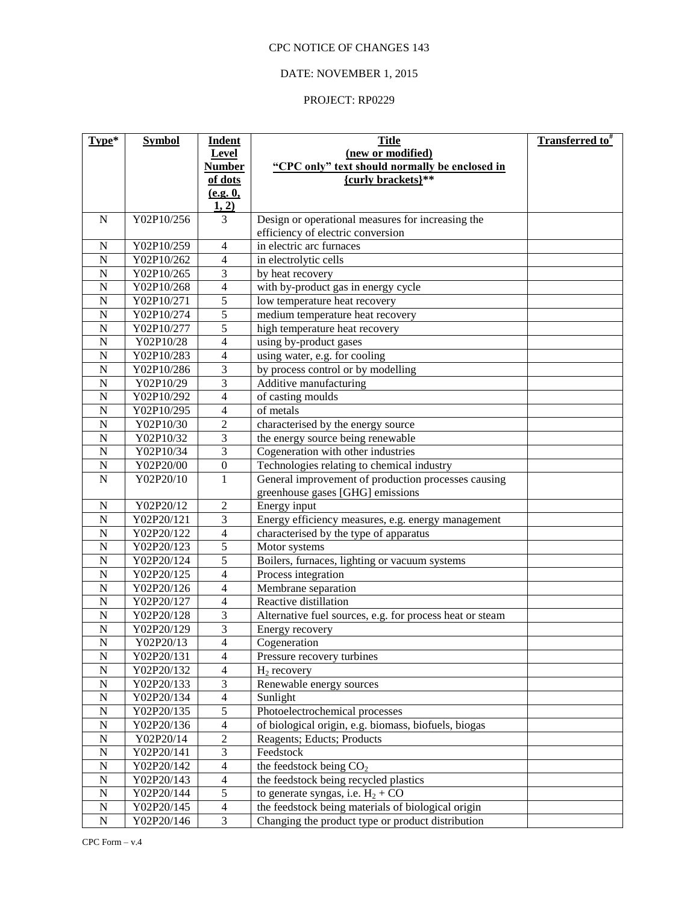# DATE: NOVEMBER 1, 2015

| Type*                       | <b>Symbol</b>            | Indent                                    | <b>Title</b>                                             | Transferred to <sup>#</sup> |
|-----------------------------|--------------------------|-------------------------------------------|----------------------------------------------------------|-----------------------------|
|                             |                          | Level                                     | (new or modified)                                        |                             |
|                             |                          | <b>Number</b>                             | "CPC only" text should normally be enclosed in           |                             |
|                             |                          | of dots                                   | {curly brackets}**                                       |                             |
|                             |                          | (e.g. 0,                                  |                                                          |                             |
|                             |                          | 1, 2)                                     |                                                          |                             |
| $\mathbf N$                 | Y02P10/256               | 3                                         | Design or operational measures for increasing the        |                             |
|                             |                          |                                           | efficiency of electric conversion                        |                             |
| ${\bf N}$<br>$\overline{N}$ | Y02P10/259               | $\overline{4}$                            | in electric arc furnaces                                 |                             |
| $\mathbf N$                 | Y02P10/262<br>Y02P10/265 | $\overline{4}$<br>$\overline{\mathbf{3}}$ | in electrolytic cells                                    |                             |
| $\overline{N}$              | Y02P10/268               | $\overline{4}$                            | by heat recovery                                         |                             |
| $\overline{N}$              | Y02P10/271               | $\overline{5}$                            | with by-product gas in energy cycle                      |                             |
| $\overline{N}$              | Y02P10/274               | $\overline{5}$                            | low temperature heat recovery                            |                             |
| $\overline{N}$              | Y02P10/277               | 5                                         | medium temperature heat recovery                         |                             |
| $\overline{N}$              |                          | $\overline{4}$                            | high temperature heat recovery                           |                             |
| $\overline{N}$              | Y02P10/28<br>Y02P10/283  |                                           | using by-product gases                                   |                             |
| $\overline{N}$              |                          | $\overline{4}$<br>3                       | using water, e.g. for cooling                            |                             |
|                             | Y02P10/286               |                                           | by process control or by modelling                       |                             |
| $\overline{N}$              | Y02P10/29                | 3                                         | Additive manufacturing                                   |                             |
| $\overline{N}$              | Y02P10/292               | $\overline{4}$                            | of casting moulds                                        |                             |
| $\overline{N}$              | Y02P10/295               | 4                                         | of metals                                                |                             |
| $\overline{N}$              | Y02P10/30                | $\overline{2}$                            | characterised by the energy source                       |                             |
| $\overline{N}$              | Y02P10/32                | $\overline{\mathbf{3}}$                   | the energy source being renewable                        |                             |
| $\mathbf N$                 | Y02P10/34                | 3                                         | Cogeneration with other industries                       |                             |
| $\overline{N}$              | Y02P20/00                | $\boldsymbol{0}$                          | Technologies relating to chemical industry               |                             |
| $\mathbf N$                 | Y02P20/10                | $\mathbf{1}$                              | General improvement of production processes causing      |                             |
|                             |                          |                                           | greenhouse gases [GHG] emissions                         |                             |
| $\mathbf N$                 | Y02P20/12                | $\overline{2}$                            | Energy input                                             |                             |
| $\mathbf N$                 | Y02P20/121               | 3                                         | Energy efficiency measures, e.g. energy management       |                             |
| $\mathbf N$                 | Y02P20/122               | $\overline{4}$                            | characterised by the type of apparatus                   |                             |
| $\overline{N}$              | Y02P20/123               | 5                                         | Motor systems                                            |                             |
| $\mathbf N$                 | Y02P20/124               | 5                                         | Boilers, furnaces, lighting or vacuum systems            |                             |
| $\mathbf N$                 | Y02P20/125               | $\overline{4}$                            | Process integration                                      |                             |
| ${\bf N}$                   | Y02P20/126               | 4                                         | Membrane separation                                      |                             |
| $\mathbf N$                 | Y02P20/127               | $\overline{4}$                            | Reactive distillation                                    |                             |
| $\mathbf N$                 | Y02P20/128               | 3                                         | Alternative fuel sources, e.g. for process heat or steam |                             |
| $\overline{N}$              | Y02P20/129               | 3                                         | Energy recovery                                          |                             |
| $\mathbf N$                 | Y02P20/13                | $\overline{\mathcal{L}}$                  | Cogeneration                                             |                             |
| $\mathbf N$                 | Y02P20/131               | $\overline{4}$                            | Pressure recovery turbines                               |                             |
| ${\bf N}$                   | Y02P20/132               | $\overline{4}$                            | $H_2$ recovery                                           |                             |
| ${\bf N}$                   | Y02P20/133               | 3                                         | Renewable energy sources                                 |                             |
| ${\bf N}$                   | Y02P20/134               | $\overline{4}$                            | Sunlight                                                 |                             |
| ${\bf N}$                   | Y02P20/135               | $\overline{5}$                            | Photoelectrochemical processes                           |                             |
| ${\bf N}$                   | Y02P20/136               | $\overline{4}$                            | of biological origin, e.g. biomass, biofuels, biogas     |                             |
| ${\bf N}$                   | Y02P20/14                | $\sqrt{2}$                                | Reagents; Educts; Products                               |                             |
| ${\bf N}$                   | Y02P20/141               | $\overline{3}$                            | Feedstock                                                |                             |
| ${\bf N}$                   | Y02P20/142               | $\overline{4}$                            | the feedstock being CO <sub>2</sub>                      |                             |
| ${\bf N}$                   | Y02P20/143               | $\overline{4}$                            | the feedstock being recycled plastics                    |                             |
| ${\bf N}$                   | Y02P20/144               | $\overline{5}$                            | to generate syngas, i.e. $H_2 + CO$                      |                             |
| ${\bf N}$                   | Y02P20/145               | $\overline{4}$                            | the feedstock being materials of biological origin       |                             |
| ${\bf N}$                   | Y02P20/146               | $\overline{3}$                            | Changing the product type or product distribution        |                             |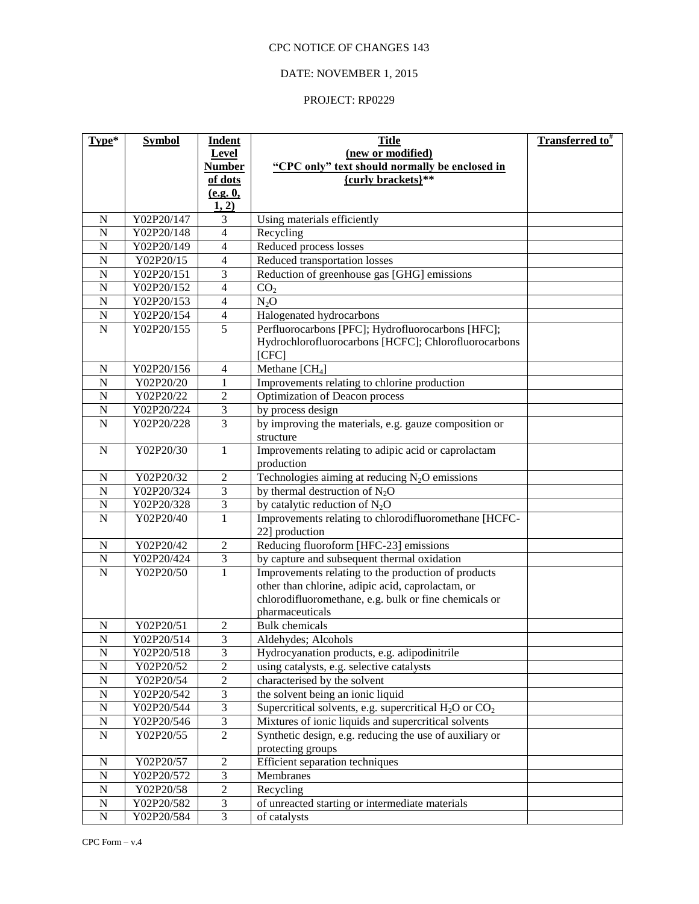# DATE: NOVEMBER 1, 2015

| Type*                    | <b>Symbol</b>           | <b>Indent</b>                | <b>Title</b>                                                | <b>Transferred to</b> <sup>#</sup> |
|--------------------------|-------------------------|------------------------------|-------------------------------------------------------------|------------------------------------|
|                          |                         | Level                        | (new or modified)                                           |                                    |
|                          |                         | <b>Number</b>                | "CPC only" text should normally be enclosed in              |                                    |
|                          |                         | of dots                      | {curly brackets}**                                          |                                    |
|                          |                         | (e.g. 0,                     |                                                             |                                    |
| $\mathbf N$              | Y02P20/147              | 1, 2)<br>$\overline{3}$      |                                                             |                                    |
| $\overline{N}$           | Y02P20/148              | $\overline{\mathcal{L}}$     | Using materials efficiently<br>Recycling                    |                                    |
| $\overline{N}$           | Y02P20/149              | $\overline{\mathcal{L}}$     | Reduced process losses                                      |                                    |
| N                        | Y02P20/15               | $\overline{\mathcal{L}}$     | Reduced transportation losses                               |                                    |
| $\overline{N}$           | Y02P20/151              | 3                            | Reduction of greenhouse gas [GHG] emissions                 |                                    |
| $\overline{N}$           | Y02P20/152              | $\overline{4}$               | CO <sub>2</sub>                                             |                                    |
| $\overline{N}$           | Y02P20/153              | $\overline{4}$               | $N_2O$                                                      |                                    |
| $\overline{N}$           | Y02P20/154              | $\overline{\mathcal{L}}$     | Halogenated hydrocarbons                                    |                                    |
| $\overline{N}$           | Y02P20/155              | $\overline{5}$               | Perfluorocarbons [PFC]; Hydrofluorocarbons [HFC];           |                                    |
|                          |                         |                              | Hydrochlorofluorocarbons [HCFC]; Chlorofluorocarbons        |                                    |
|                          |                         |                              | [CFC]                                                       |                                    |
| $\mathbf N$              | Y02P20/156              | $\overline{4}$               | Methane [CH <sub>4</sub> ]                                  |                                    |
| $\mathbf N$              | Y02P20/20               | $\mathbf{1}$                 | Improvements relating to chlorine production                |                                    |
| $\mathbf N$              | Y02P20/22               | $\overline{2}$               | Optimization of Deacon process                              |                                    |
| $\mathbf N$              | Y02P20/224              | $\overline{\mathbf{3}}$      | by process design                                           |                                    |
| $\mathbf N$              | Y02P20/228              | $\overline{3}$               | by improving the materials, e.g. gauze composition or       |                                    |
|                          |                         |                              | structure                                                   |                                    |
| $\mathbf N$              | Y02P20/30               | $\mathbf{1}$                 | Improvements relating to adipic acid or caprolactam         |                                    |
|                          |                         |                              | production                                                  |                                    |
| N                        | Y02P20/32               | $\sqrt{2}$                   | Technologies aiming at reducing $N_2O$ emissions            |                                    |
| $\mathbf N$              | Y02P20/324              | 3                            | by thermal destruction of $N_2O$                            |                                    |
| $\mathbf N$              | Y02P20/328              | 3                            | by catalytic reduction of $N_2O$                            |                                    |
| $\mathbf N$              | Y02P20/40               | 1                            | Improvements relating to chlorodifluoromethane [HCFC-       |                                    |
|                          |                         |                              | 22] production                                              |                                    |
| ${\bf N}$                | Y02P20/42               | $\sqrt{2}$                   | Reducing fluoroform [HFC-23] emissions                      |                                    |
| ${\bf N}$                | Y02P20/424              | $\ensuremath{\mathfrak{Z}}$  | by capture and subsequent thermal oxidation                 |                                    |
| $\mathbf N$              | Y02P20/50               | $\mathbf{1}$                 | Improvements relating to the production of products         |                                    |
|                          |                         |                              | other than chlorine, adipic acid, caprolactam, or           |                                    |
|                          |                         |                              | chlorodifluoromethane, e.g. bulk or fine chemicals or       |                                    |
|                          |                         |                              | pharmaceuticals                                             |                                    |
| $\mathbf N$              | Y02P20/51               | $\boldsymbol{2}$             | <b>Bulk</b> chemicals                                       |                                    |
| ${\bf N}$                | Y02P20/514              | 3                            | Aldehydes; Alcohols                                         |                                    |
| ${\bf N}$                | Y02P20/518              | $\mathfrak{Z}$               | Hydrocyanation products, e.g. adipodinitrile                |                                    |
| ${\bf N}$                | Y02P20/52               | $\mathbf{2}$                 | using catalysts, e.g. selective catalysts                   |                                    |
| ${\bf N}$                | Y02P20/54               | $\boldsymbol{2}$             | characterised by the solvent                                |                                    |
| ${\bf N}$                | Y02P20/542              | $\mathfrak{Z}$               | the solvent being an ionic liquid                           |                                    |
| ${\bf N}$                | Y02P20/544              | $\mathfrak 3$                | Supercritical solvents, e.g. supercritical $H_2O$ or $CO_2$ |                                    |
| ${\bf N}$                | Y02P20/546              | $\overline{3}$               | Mixtures of ionic liquids and supercritical solvents        |                                    |
| ${\bf N}$                | Y02P20/55               | $\overline{2}$               | Synthetic design, e.g. reducing the use of auxiliary or     |                                    |
|                          |                         |                              | protecting groups<br>Efficient separation techniques        |                                    |
| $\mathbf N$<br>${\bf N}$ | Y02P20/57<br>Y02P20/572 | $\sqrt{2}$<br>$\overline{3}$ | Membranes                                                   |                                    |
| ${\bf N}$                | Y02P20/58               | $\sqrt{2}$                   | Recycling                                                   |                                    |
| $\mathbf N$              | Y02P20/582              | $\mathfrak{Z}$               | of unreacted starting or intermediate materials             |                                    |
| ${\bf N}$                | Y02P20/584              | $\overline{3}$               | of catalysts                                                |                                    |
|                          |                         |                              |                                                             |                                    |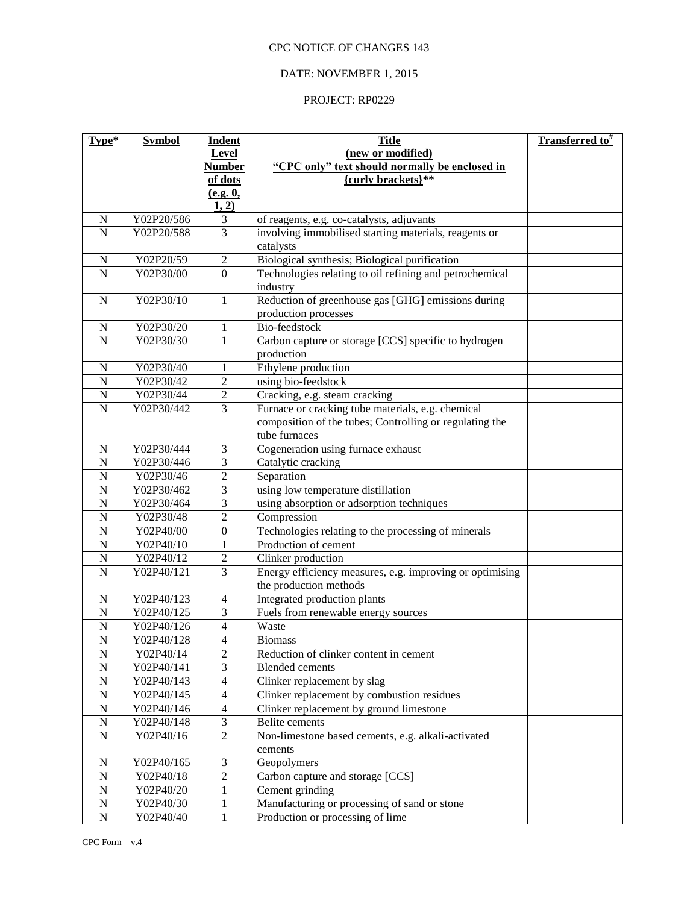# DATE: NOVEMBER 1, 2015

| Type*                   | <b>Symbol</b> | <b>Indent</b>            | <b>Title</b>                                                       | <b>Transferred to</b> <sup>#</sup> |
|-------------------------|---------------|--------------------------|--------------------------------------------------------------------|------------------------------------|
|                         |               | <b>Level</b>             | (new or modified)                                                  |                                    |
|                         |               | <b>Number</b>            | "CPC only" text should normally be enclosed in                     |                                    |
|                         |               | of dots                  | {curly brackets}**                                                 |                                    |
|                         |               | (e.g. 0,                 |                                                                    |                                    |
|                         |               | 1, 2)                    |                                                                    |                                    |
| $\mathbf N$             | Y02P20/586    | 3<br>$\overline{3}$      | of reagents, e.g. co-catalysts, adjuvants                          |                                    |
| $\overline{\mathbf{N}}$ | Y02P20/588    |                          | involving immobilised starting materials, reagents or<br>catalysts |                                    |
| $\mathbf N$             | Y02P20/59     | $\sqrt{2}$               | Biological synthesis; Biological purification                      |                                    |
| $\overline{N}$          | Y02P30/00     | $\overline{0}$           | Technologies relating to oil refining and petrochemical            |                                    |
|                         |               |                          | industry                                                           |                                    |
| $\mathbf N$             | Y02P30/10     | $\mathbf{1}$             | Reduction of greenhouse gas [GHG] emissions during                 |                                    |
|                         |               |                          | production processes                                               |                                    |
| $\mathbf N$             | Y02P30/20     | $\mathbf{1}$             | Bio-feedstock                                                      |                                    |
| $\overline{N}$          | Y02P30/30     | 1                        | Carbon capture or storage [CCS] specific to hydrogen               |                                    |
|                         |               |                          | production                                                         |                                    |
| $\mathbf N$             | Y02P30/40     | 1                        | Ethylene production                                                |                                    |
| ${\bf N}$               | Y02P30/42     | $\overline{c}$           | using bio-feedstock                                                |                                    |
| ${\bf N}$               | Y02P30/44     | $\overline{c}$           | Cracking, e.g. steam cracking                                      |                                    |
| ${\bf N}$               | Y02P30/442    | $\overline{3}$           | Furnace or cracking tube materials, e.g. chemical                  |                                    |
|                         |               |                          | composition of the tubes; Controlling or regulating the            |                                    |
|                         |               |                          | tube furnaces                                                      |                                    |
| $\mathbf N$             | Y02P30/444    | $\mathfrak{Z}$           | Cogeneration using furnace exhaust                                 |                                    |
| $\mathbf N$             | Y02P30/446    | 3                        | Catalytic cracking                                                 |                                    |
| $\mathbf N$             | Y02P30/46     | $\overline{2}$           | Separation                                                         |                                    |
| $\mathbf N$             | Y02P30/462    | 3                        | using low temperature distillation                                 |                                    |
| ${\bf N}$               | Y02P30/464    | 3                        | using absorption or adsorption techniques                          |                                    |
| $\mathbf N$             | Y02P30/48     | $\overline{2}$           | Compression                                                        |                                    |
| ${\bf N}$               | Y02P40/00     | $\boldsymbol{0}$         | Technologies relating to the processing of minerals                |                                    |
| ${\bf N}$               | Y02P40/10     | 1                        | Production of cement                                               |                                    |
| $\mathbf N$             | Y02P40/12     | $\sqrt{2}$               | Clinker production                                                 |                                    |
| $\mathbf N$             | Y02P40/121    | $\overline{3}$           | Energy efficiency measures, e.g. improving or optimising           |                                    |
|                         |               |                          | the production methods                                             |                                    |
| $\mathbf N$             | Y02P40/123    | $\overline{4}$           | Integrated production plants                                       |                                    |
| ${\bf N}$               | Y02P40/125    | 3                        | Fuels from renewable energy sources                                |                                    |
| $\mathbf N$             | Y02P40/126    | 4                        | Waste                                                              |                                    |
| N                       | Y02P40/128    | $\overline{4}$           | <b>Biomass</b>                                                     |                                    |
| ${\bf N}$               | Y02P40/14     | $\overline{2}$           | Reduction of clinker content in cement                             |                                    |
| ${\bf N}$               | Y02P40/141    | 3                        | <b>Blended</b> cements                                             |                                    |
| $\mathbf N$             | Y02P40/143    | $\overline{\mathcal{L}}$ | Clinker replacement by slag                                        |                                    |
| $\mathbf N$             | Y02P40/145    | 4                        | Clinker replacement by combustion residues                         |                                    |
| $\mathbf N$             | Y02P40/146    | $\overline{4}$           | Clinker replacement by ground limestone                            |                                    |
| ${\bf N}$               | Y02P40/148    | $\mathfrak{Z}$           | Belite cements                                                     |                                    |
| ${\bf N}$               | Y02P40/16     | $\overline{2}$           | Non-limestone based cements, e.g. alkali-activated                 |                                    |
| N                       | Y02P40/165    | 3                        | cements<br>Geopolymers                                             |                                    |
| $\mathbf N$             | Y02P40/18     | $\overline{2}$           | Carbon capture and storage [CCS]                                   |                                    |
| $\mathbf N$             | Y02P40/20     | 1                        | Cement grinding                                                    |                                    |
| $\mathbf N$             | Y02P40/30     | 1                        | Manufacturing or processing of sand or stone                       |                                    |
| ${\bf N}$               | Y02P40/40     | 1                        | Production or processing of lime                                   |                                    |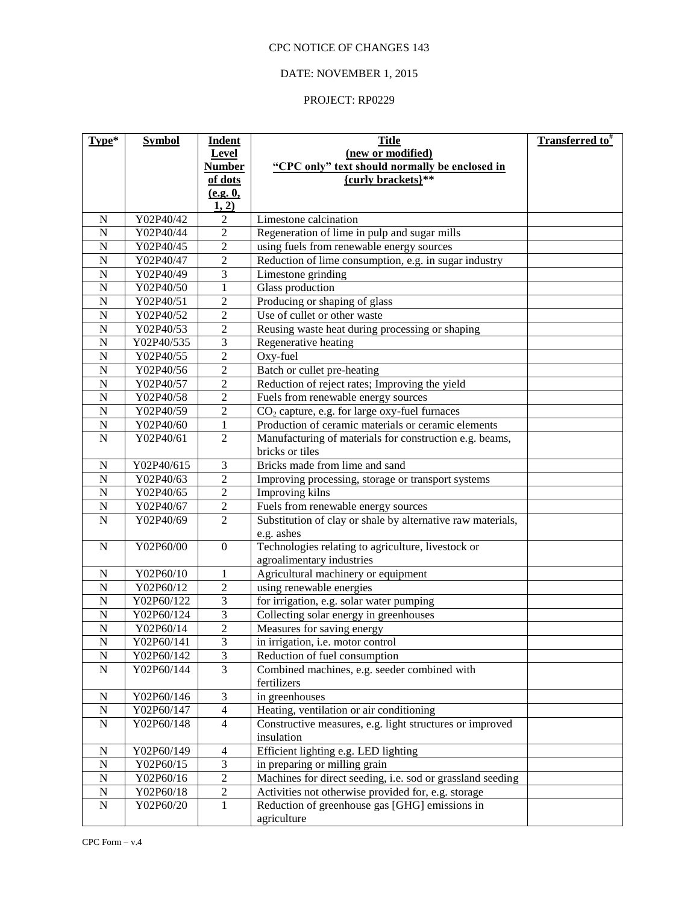# DATE: NOVEMBER 1, 2015

| Type*                   | <b>Symbol</b>           | <b>Indent</b><br>Level  | <b>Title</b><br>(new or modified)                                         | <b>Transferred to</b> <sup>#</sup> |
|-------------------------|-------------------------|-------------------------|---------------------------------------------------------------------------|------------------------------------|
|                         |                         | <b>Number</b>           | "CPC only" text should normally be enclosed in                            |                                    |
|                         |                         | of dots                 | {curly brackets}**                                                        |                                    |
|                         |                         | (e.g. 0,<br>1, 2)       |                                                                           |                                    |
| $\mathbf N$             | Y02P40/42               | 2                       | Limestone calcination                                                     |                                    |
| $\overline{\mathbf{N}}$ | Y02P40/44               | $\overline{c}$          | Regeneration of lime in pulp and sugar mills                              |                                    |
| $\mathbf N$             | Y02P40/45               | $\overline{2}$          | using fuels from renewable energy sources                                 |                                    |
| $\overline{N}$          | Y02P40/47               | $\overline{2}$          | Reduction of lime consumption, e.g. in sugar industry                     |                                    |
| $\overline{N}$          | Y02P40/49               | $\overline{\mathbf{3}}$ | Limestone grinding                                                        |                                    |
| $\overline{N}$          | Y02P40/50               | $\mathbf{1}$            | Glass production                                                          |                                    |
| $\overline{N}$          | Y02P40/51               | $\overline{c}$          | Producing or shaping of glass                                             |                                    |
| $\overline{N}$          | Y02P40/52               | $\overline{c}$          | Use of cullet or other waste                                              |                                    |
| $\overline{N}$          | Y02P40/53               | $\overline{2}$          | Reusing waste heat during processing or shaping                           |                                    |
| $\overline{N}$          | Y02P40/535              | $\overline{\mathbf{3}}$ | Regenerative heating                                                      |                                    |
| $\overline{N}$          | Y02P40/55               | $\overline{c}$          | Oxy-fuel                                                                  |                                    |
| $\overline{N}$          | Y02P40/56               | $\overline{2}$          | Batch or cullet pre-heating                                               |                                    |
| $\overline{N}$          | Y02P40/57               | $\overline{2}$          | Reduction of reject rates; Improving the yield                            |                                    |
| $\overline{N}$          | Y02P40/58               | $\overline{c}$          | Fuels from renewable energy sources                                       |                                    |
| $\overline{N}$          | Y02P40/59               | $\overline{2}$          | $CO2$ capture, e.g. for large oxy-fuel furnaces                           |                                    |
| $\overline{N}$          | Y02P40/60               | $\mathbf{1}$            | Production of ceramic materials or ceramic elements                       |                                    |
| $\mathbf N$             | Y02P40/61               | $\overline{2}$          | Manufacturing of materials for construction e.g. beams,                   |                                    |
|                         |                         |                         | bricks or tiles                                                           |                                    |
| $\mathbf N$             | Y02P40/615              | 3                       | Bricks made from lime and sand                                            |                                    |
| $\overline{N}$          | Y02P40/63               | $\overline{c}$          | Improving processing, storage or transport systems                        |                                    |
| $\overline{N}$          | Y02P40/65               | $\overline{c}$          | Improving kilns                                                           |                                    |
| $\overline{N}$          | Y02P40/67               | $\overline{c}$          | Fuels from renewable energy sources                                       |                                    |
| $\mathbf N$             | Y02P40/69               | $\overline{2}$          | Substitution of clay or shale by alternative raw materials,<br>e.g. ashes |                                    |
| $\mathbf N$             | Y02P60/00               | $\boldsymbol{0}$        | Technologies relating to agriculture, livestock or                        |                                    |
|                         |                         |                         | agroalimentary industries                                                 |                                    |
| ${\bf N}$               | Y02P60/10               | $\mathbf{1}$            | Agricultural machinery or equipment                                       |                                    |
| $\overline{N}$          | Y02P60/12               | $\overline{2}$          | using renewable energies                                                  |                                    |
| $\mathbf N$             | Y02P60/122              | $\overline{3}$          | for irrigation, e.g. solar water pumping                                  |                                    |
| ${\bf N}$               | Y02P60/124              | $\overline{3}$          | Collecting solar energy in greenhouses                                    |                                    |
| $\overline{N}$          | Y02P60/14               | $\overline{2}$          | Measures for saving energy                                                |                                    |
| $\overline{\text{N}}$   | Y02P60/141              | $\overline{3}$          | in irrigation, i.e. motor control                                         |                                    |
| ${\bf N}$               | Y02P60/142              | $\overline{3}$          | Reduction of fuel consumption                                             |                                    |
| ${\bf N}$               | Y02P60/144              | $\overline{3}$          | Combined machines, e.g. seeder combined with<br>fertilizers               |                                    |
| ${\bf N}$               | Y02P60/146              | 3                       | in greenhouses                                                            |                                    |
| ${\bf N}$               | Y02P60/147              | $\overline{4}$          | Heating, ventilation or air conditioning                                  |                                    |
| ${\bf N}$               | Y02P60/148              | $\overline{4}$          | Constructive measures, e.g. light structures or improved                  |                                    |
|                         |                         |                         | insulation                                                                |                                    |
| ${\bf N}$               | Y02P60/149              | $\overline{4}$          | Efficient lighting e.g. LED lighting                                      |                                    |
| ${\bf N}$               | Y02P60/15               | 3                       | in preparing or milling grain                                             |                                    |
| ${\bf N}$               | Y02P60/16               | $\boldsymbol{2}$        | Machines for direct seeding, i.e. sod or grassland seeding                |                                    |
| ${\bf N}$               | $\overline{Y}$ 02P60/18 | $\mathbf{2}$            | Activities not otherwise provided for, e.g. storage                       |                                    |
| ${\bf N}$               | Y02P60/20               | 1                       | Reduction of greenhouse gas [GHG] emissions in                            |                                    |
|                         |                         |                         | agriculture                                                               |                                    |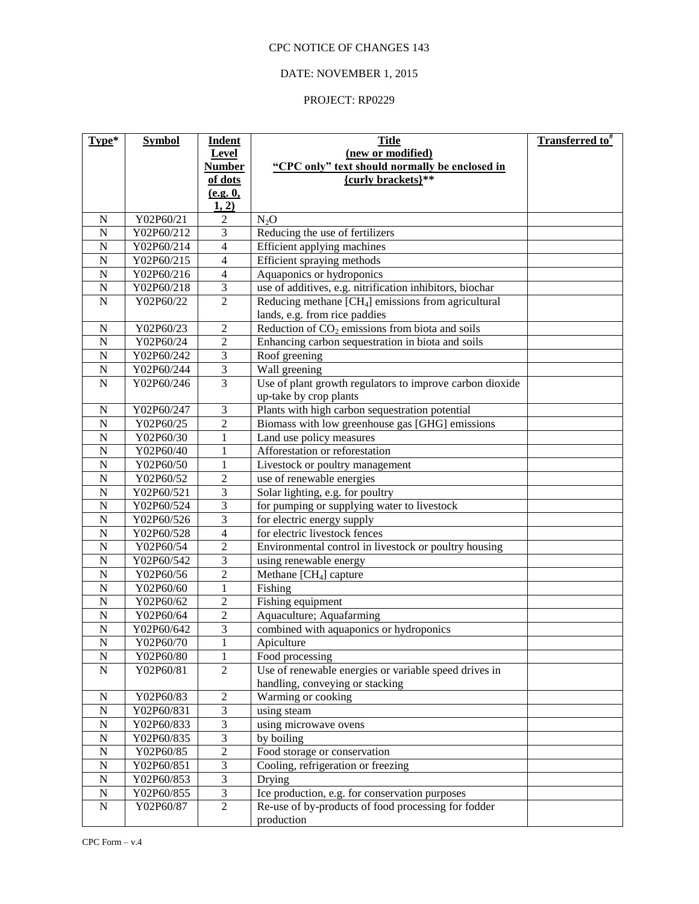# DATE: NOVEMBER 1, 2015

| Type*                            | <b>Symbol</b> | <b>Indent</b>                             | <b>Title</b>                                                             | <b>Transferred to</b> <sup>#</sup> |
|----------------------------------|---------------|-------------------------------------------|--------------------------------------------------------------------------|------------------------------------|
|                                  |               | Level                                     | (new or modified)                                                        |                                    |
|                                  |               | <b>Number</b>                             | "CPC only" text should normally be enclosed in                           |                                    |
|                                  |               | of dots                                   | {curly brackets}**                                                       |                                    |
|                                  |               | (e.g. 0,                                  |                                                                          |                                    |
|                                  |               | 1, 2)                                     |                                                                          |                                    |
| $\mathbf N$                      | Y02P60/21     | 2                                         | N <sub>2</sub> O                                                         |                                    |
| $\overline{\text{N}}$            | Y02P60/212    | $\overline{\mathbf{3}}$                   | Reducing the use of fertilizers                                          |                                    |
| $\overline{N}$                   | Y02P60/214    | $\overline{4}$                            | Efficient applying machines                                              |                                    |
| $\overline{N}$                   | Y02P60/215    | 4                                         | Efficient spraying methods                                               |                                    |
| $\overline{N}$                   | Y02P60/216    | $\overline{4}$                            | Aquaponics or hydroponics                                                |                                    |
| $\overline{N}$                   | Y02P60/218    | $\overline{\mathbf{3}}$                   | use of additives, e.g. nitrification inhibitors, biochar                 |                                    |
| $\mathbf N$                      | Y02P60/22     | $\overline{2}$                            | Reducing methane $[CH4]$ emissions from agricultural                     |                                    |
|                                  |               |                                           | lands, e.g. from rice paddies                                            |                                    |
| $\mathbf N$                      | Y02P60/23     | $\overline{2}$                            | Reduction of $CO2$ emissions from biota and soils                        |                                    |
| $\overline{N}$                   | Y02P60/24     | $\overline{c}$                            | Enhancing carbon sequestration in biota and soils                        |                                    |
| $\overline{N}$                   | Y02P60/242    | 3                                         | Roof greening                                                            |                                    |
| $\mathbf N$                      | Y02P60/244    | 3                                         | Wall greening                                                            |                                    |
| $\mathbf N$                      | Y02P60/246    | 3                                         | Use of plant growth regulators to improve carbon dioxide                 |                                    |
|                                  |               |                                           | up-take by crop plants                                                   |                                    |
| $\mathbf N$                      | Y02P60/247    | 3                                         | Plants with high carbon sequestration potential                          |                                    |
| $\overline{N}$                   | Y02P60/25     | $\overline{2}$                            | Biomass with low greenhouse gas [GHG] emissions                          |                                    |
| $\overline{N}$                   | Y02P60/30     | $\mathbf{1}$                              | Land use policy measures                                                 |                                    |
| $\overline{N}$                   | Y02P60/40     | $\mathbf{1}$                              | Afforestation or reforestation                                           |                                    |
| $\overline{N}$                   | Y02P60/50     | $\mathbf{1}$                              | Livestock or poultry management                                          |                                    |
| $\overline{N}$                   | Y02P60/52     | $\overline{c}$                            | use of renewable energies                                                |                                    |
| $\overline{N}$                   | Y02P60/521    | $\overline{\mathbf{3}}$                   | Solar lighting, e.g. for poultry                                         |                                    |
| $\overline{N}$                   | Y02P60/524    | $\overline{\mathbf{3}}$                   | for pumping or supplying water to livestock                              |                                    |
| $\overline{N}$                   | Y02P60/526    | $\overline{\mathbf{3}}$                   | for electric energy supply                                               |                                    |
| $\overline{N}$                   | Y02P60/528    | 4                                         | for electric livestock fences                                            |                                    |
| $\overline{N}$                   | Y02P60/54     | $\overline{2}$                            | Environmental control in livestock or poultry housing                    |                                    |
| $\overline{N}$                   | Y02P60/542    | $\overline{\mathbf{3}}$                   | using renewable energy                                                   |                                    |
| $\overline{N}$                   | Y02P60/56     | $\overline{2}$                            | Methane [CH <sub>4</sub> ] capture                                       |                                    |
| $\overline{N}$                   | Y02P60/60     | $\mathbf{1}$                              | Fishing                                                                  |                                    |
| $\overline{N}$                   | Y02P60/62     | $\overline{c}$                            | Fishing equipment                                                        |                                    |
| $\overline{N}$<br>$\overline{N}$ | Y02P60/64     | $\overline{2}$<br>$\overline{\mathbf{3}}$ | Aquaculture; Aquafarming                                                 |                                    |
|                                  | Y02P60/642    |                                           | combined with aquaponics or hydroponics                                  |                                    |
| $\overline{N}$                   | Y02P60/70     | $\mathbf 1$<br>$\mathbf{1}$               | Apiculture                                                               |                                    |
| $\overline{N}$                   | Y02P60/80     | $\overline{2}$                            | Food processing<br>Use of renewable energies or variable speed drives in |                                    |
| ${\bf N}$                        | Y02P60/81     |                                           | handling, conveying or stacking                                          |                                    |
| ${\bf N}$                        | Y02P60/83     | $\boldsymbol{2}$                          | Warming or cooking                                                       |                                    |
| ${\bf N}$                        | Y02P60/831    | $\overline{3}$                            | using steam                                                              |                                    |
| ${\bf N}$                        | Y02P60/833    | $\overline{\mathbf{3}}$                   | using microwave ovens                                                    |                                    |
| ${\bf N}$                        | Y02P60/835    | 3                                         | by boiling                                                               |                                    |
| ${\bf N}$                        | Y02P60/85     | $\overline{c}$                            | Food storage or conservation                                             |                                    |
| ${\bf N}$                        | Y02P60/851    | $\overline{\mathbf{3}}$                   | Cooling, refrigeration or freezing                                       |                                    |
| ${\bf N}$                        | Y02P60/853    | $\overline{3}$                            | Drying                                                                   |                                    |
| ${\bf N}$                        | Y02P60/855    | $\overline{3}$                            | Ice production, e.g. for conservation purposes                           |                                    |
| ${\bf N}$                        | Y02P60/87     | $\overline{2}$                            | Re-use of by-products of food processing for fodder                      |                                    |
|                                  |               |                                           | production                                                               |                                    |
|                                  |               |                                           |                                                                          |                                    |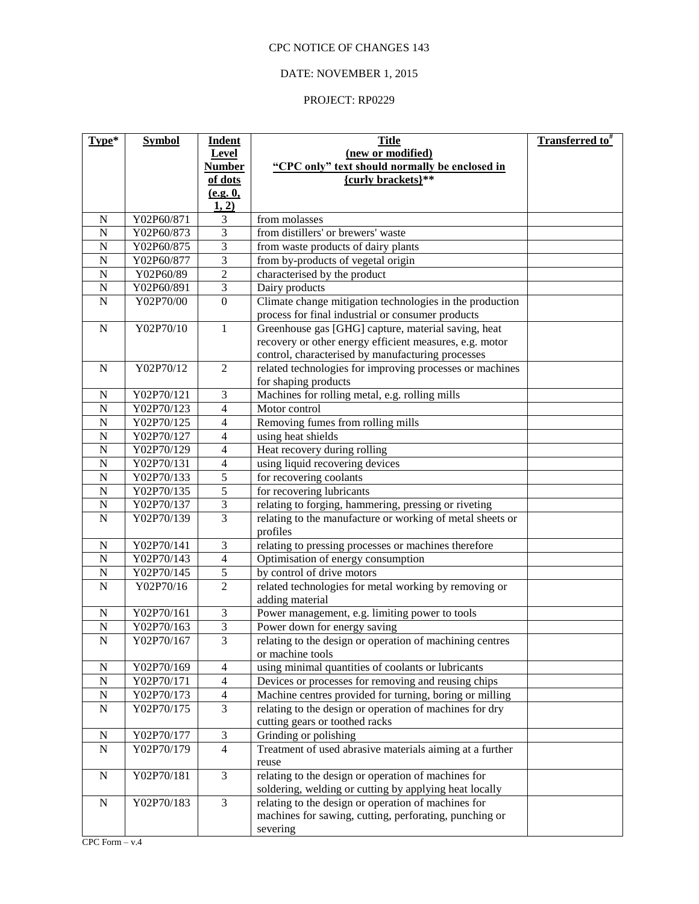# DATE: NOVEMBER 1, 2015

| Type*                 | <b>Symbol</b>            | <b>Indent</b>           | <b>Title</b>                                              | <b>Transferred to</b> <sup>#</sup> |
|-----------------------|--------------------------|-------------------------|-----------------------------------------------------------|------------------------------------|
|                       |                          | Level                   | (new or modified)                                         |                                    |
|                       |                          | <b>Number</b>           | "CPC only" text should normally be enclosed in            |                                    |
|                       |                          | of dots                 | {curly brackets}**                                        |                                    |
|                       |                          | (e.g. 0,                |                                                           |                                    |
|                       |                          | 1, 2)                   |                                                           |                                    |
| $\mathbf N$           | Y02P60/871               | 3                       | from molasses                                             |                                    |
| $\overline{N}$        | Y02P60/873               | $\overline{\mathbf{3}}$ | from distillers' or brewers' waste                        |                                    |
| $\overline{N}$        | Y02P60/875               | $\overline{3}$          | from waste products of dairy plants                       |                                    |
| $\overline{N}$        | Y02P60/877               | $\overline{3}$          | from by-products of vegetal origin                        |                                    |
| $\overline{N}$        | Y02P60/89                | $\overline{2}$          | characterised by the product                              |                                    |
| $\overline{\text{N}}$ | Y02P60/891               | $\overline{\mathbf{3}}$ | Dairy products                                            |                                    |
| $\overline{N}$        | Y02P70/00                | $\overline{0}$          | Climate change mitigation technologies in the production  |                                    |
|                       |                          |                         | process for final industrial or consumer products         |                                    |
| $\mathbf N$           | Y02P70/10                | 1                       | Greenhouse gas [GHG] capture, material saving, heat       |                                    |
|                       |                          |                         | recovery or other energy efficient measures, e.g. motor   |                                    |
|                       |                          |                         | control, characterised by manufacturing processes         |                                    |
| $\mathbf N$           | Y02P70/12                | $\overline{2}$          | related technologies for improving processes or machines  |                                    |
|                       |                          |                         | for shaping products                                      |                                    |
| $\mathbf N$           | Y02P70/121<br>Y02P70/123 | 3                       | Machines for rolling metal, e.g. rolling mills            |                                    |
| $\mathbf N$           |                          | 4                       | Motor control                                             |                                    |
| ${\bf N}$             | Y02P70/125               | 4                       | Removing fumes from rolling mills                         |                                    |
| ${\bf N}$             | Y02P70/127               | 4                       | using heat shields                                        |                                    |
| ${\bf N}$             | Y02P70/129               | 4                       | Heat recovery during rolling                              |                                    |
| ${\bf N}$             | Y02P70/131               | $\overline{4}$          | using liquid recovering devices                           |                                    |
| ${\bf N}$             | Y02P70/133               | 5                       | for recovering coolants                                   |                                    |
| $\overline{N}$        | Y02P70/135               | 5                       | for recovering lubricants                                 |                                    |
| ${\bf N}$             | Y02P70/137               | 3                       | relating to forging, hammering, pressing or riveting      |                                    |
| $\mathbf N$           | Y02P70/139               | 3                       | relating to the manufacture or working of metal sheets or |                                    |
|                       |                          |                         | profiles                                                  |                                    |
| ${\bf N}$             | Y02P70/141               | 3                       | relating to pressing processes or machines therefore      |                                    |
| $\overline{N}$        | Y02P70/143               | $\overline{4}$          | Optimisation of energy consumption                        |                                    |
| ${\bf N}$             | Y02P70/145               | $\sqrt{5}$              | by control of drive motors                                |                                    |
| $\overline{N}$        | Y02P70/16                | $\overline{2}$          | related technologies for metal working by removing or     |                                    |
|                       |                          |                         | adding material                                           |                                    |
| $\mathbf N$           | Y02P70/161               | $\mathfrak 3$           | Power management, e.g. limiting power to tools            |                                    |
| $\mathbf N$           | Y02P70/163               | $\overline{3}$          | Power down for energy saving                              |                                    |
| $\mathbf N$           | Y02P70/167               | $\overline{3}$          | relating to the design or operation of machining centres  |                                    |
|                       |                          |                         | or machine tools                                          |                                    |
| N                     | Y02P70/169               | 4                       | using minimal quantities of coolants or lubricants        |                                    |
| ${\bf N}$             | Y02P70/171               | $\overline{4}$          | Devices or processes for removing and reusing chips       |                                    |
| ${\bf N}$             | Y02P70/173               | 4                       | Machine centres provided for turning, boring or milling   |                                    |
| N                     | Y02P70/175               | 3                       | relating to the design or operation of machines for dry   |                                    |
|                       |                          |                         | cutting gears or toothed racks                            |                                    |
| $\mathbf N$           | Y02P70/177               | $\mathfrak{Z}$          | Grinding or polishing                                     |                                    |
| ${\bf N}$             | Y02P70/179               | $\overline{4}$          | Treatment of used abrasive materials aiming at a further  |                                    |
|                       |                          |                         | reuse                                                     |                                    |
| N                     | Y02P70/181               | $\mathfrak{Z}$          | relating to the design or operation of machines for       |                                    |
|                       |                          |                         | soldering, welding or cutting by applying heat locally    |                                    |
| $\mathbf N$           | Y02P70/183               | 3                       | relating to the design or operation of machines for       |                                    |
|                       |                          |                         | machines for sawing, cutting, perforating, punching or    |                                    |
|                       |                          |                         | severing                                                  |                                    |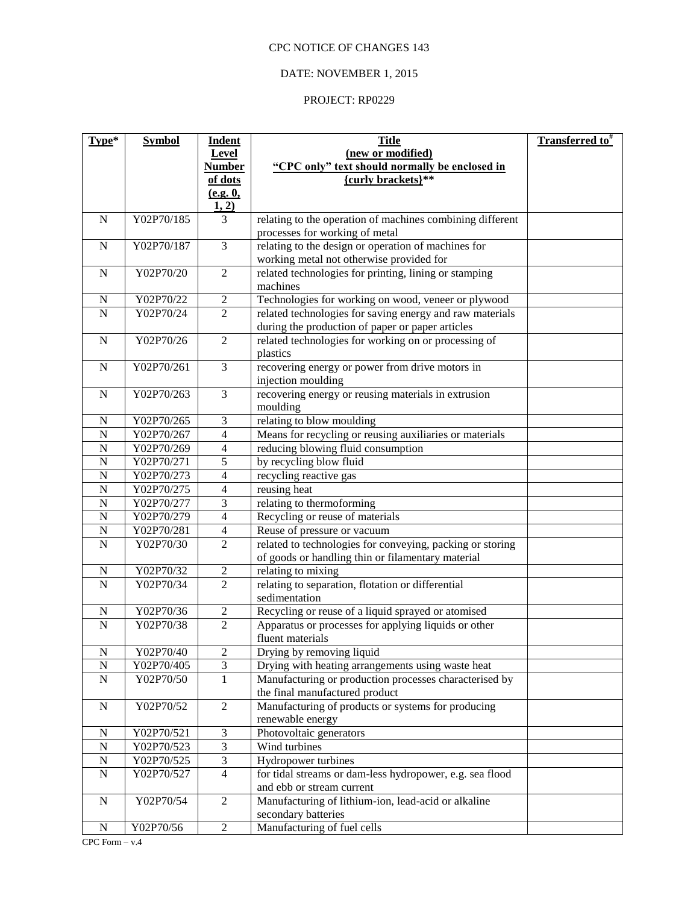# DATE: NOVEMBER 1, 2015

| Type*                         | <b>Symbol</b>            | <b>Indent</b><br>Level           | <b>Title</b><br>(new or modified)                                                     | <b>Transferred to</b> # |
|-------------------------------|--------------------------|----------------------------------|---------------------------------------------------------------------------------------|-------------------------|
|                               |                          | <b>Number</b>                    | "CPC only" text should normally be enclosed in                                        |                         |
|                               |                          | of dots                          | {curly brackets}**                                                                    |                         |
|                               |                          | (e.g. 0,                         |                                                                                       |                         |
|                               |                          | 1, 2)                            |                                                                                       |                         |
| $\mathbf N$                   | Y02P70/185               | 3                                | relating to the operation of machines combining different                             |                         |
| $\mathbf N$                   | Y02P70/187               | $\overline{3}$                   | processes for working of metal<br>relating to the design or operation of machines for |                         |
|                               |                          |                                  | working metal not otherwise provided for                                              |                         |
| $\mathbf N$                   | Y02P70/20                | $\overline{2}$                   | related technologies for printing, lining or stamping                                 |                         |
|                               |                          |                                  | machines                                                                              |                         |
| $\mathbf N$                   | Y02P70/22                | $\boldsymbol{2}$                 | Technologies for working on wood, veneer or plywood                                   |                         |
| $\mathbf N$                   | Y02P70/24                | $\overline{2}$                   | related technologies for saving energy and raw materials                              |                         |
|                               |                          |                                  | during the production of paper or paper articles                                      |                         |
| $\mathbf N$                   | Y02P70/26                | $\overline{2}$                   | related technologies for working on or processing of                                  |                         |
|                               |                          |                                  | plastics                                                                              |                         |
| $\mathbf N$                   | Y02P70/261               | 3                                | recovering energy or power from drive motors in                                       |                         |
|                               |                          |                                  | injection moulding                                                                    |                         |
| ${\bf N}$                     | Y02P70/263               | $\overline{3}$                   | recovering energy or reusing materials in extrusion                                   |                         |
|                               |                          |                                  | moulding                                                                              |                         |
| $\mathbf N$                   | Y02P70/265               | $\mathfrak 3$                    | relating to blow moulding                                                             |                         |
| ${\bf N}$                     | Y02P70/267               | $\overline{4}$                   | Means for recycling or reusing auxiliaries or materials                               |                         |
| ${\bf N}$                     | Y02P70/269<br>Y02P70/271 | $\overline{4}$<br>$\overline{5}$ | reducing blowing fluid consumption                                                    |                         |
| ${\bf N}$<br>${\bf N}$        | Y02P70/273               | $\overline{4}$                   | by recycling blow fluid                                                               |                         |
| ${\bf N}$                     | Y02P70/275               | $\overline{4}$                   | recycling reactive gas<br>reusing heat                                                |                         |
| $\mathbf N$                   | Y02P70/277               | 3                                | relating to thermoforming                                                             |                         |
| ${\bf N}$                     | Y02P70/279               | $\overline{4}$                   | Recycling or reuse of materials                                                       |                         |
| $\mathbf N$                   | Y02P70/281               | 4                                | Reuse of pressure or vacuum                                                           |                         |
| $\mathbf N$                   | Y02P70/30                | $\mathbf{2}$                     | related to technologies for conveying, packing or storing                             |                         |
|                               |                          |                                  | of goods or handling thin or filamentary material                                     |                         |
| N                             | Y02P70/32                | $\boldsymbol{2}$                 | relating to mixing                                                                    |                         |
| $\mathbf N$                   | Y02P70/34                | $\overline{2}$                   | relating to separation, flotation or differential                                     |                         |
|                               |                          |                                  | sedimentation                                                                         |                         |
| $\mathbf N$                   | Y02P70/36                | $\overline{c}$                   | Recycling or reuse of a liquid sprayed or atomised                                    |                         |
| $\overline{N}$                | Y02P70/38                | $\overline{2}$                   | Apparatus or processes for applying liquids or other                                  |                         |
|                               |                          |                                  | fluent materials                                                                      |                         |
| ${\bf N}$                     | Y02P70/40                | $\sqrt{2}$                       | Drying by removing liquid                                                             |                         |
| ${\bf N}$                     | Y02P70/405               | $\overline{3}$                   | Drying with heating arrangements using waste heat                                     |                         |
| ${\bf N}$                     | Y02P70/50                | $\mathbf{1}$                     | Manufacturing or production processes characterised by                                |                         |
|                               |                          |                                  | the final manufactured product                                                        |                         |
| ${\bf N}$                     | Y02P70/52                | $\overline{2}$                   | Manufacturing of products or systems for producing                                    |                         |
|                               |                          |                                  | renewable energy                                                                      |                         |
| $\mathbf N$<br>$\overline{N}$ | Y02P70/521<br>Y02P70/523 | $\sqrt{3}$<br>$\overline{3}$     | Photovoltaic generators<br>Wind turbines                                              |                         |
| ${\bf N}$                     | Y02P70/525               | $\overline{\mathbf{3}}$          | Hydropower turbines                                                                   |                         |
| $\mathbf N$                   | Y02P70/527               | $\overline{4}$                   | for tidal streams or dam-less hydropower, e.g. sea flood                              |                         |
|                               |                          |                                  | and ebb or stream current                                                             |                         |
| ${\bf N}$                     | Y02P70/54                | $\overline{2}$                   | Manufacturing of lithium-ion, lead-acid or alkaline                                   |                         |
|                               |                          |                                  | secondary batteries                                                                   |                         |
| ${\bf N}$                     | Y02P70/56                | $\overline{2}$                   | Manufacturing of fuel cells                                                           |                         |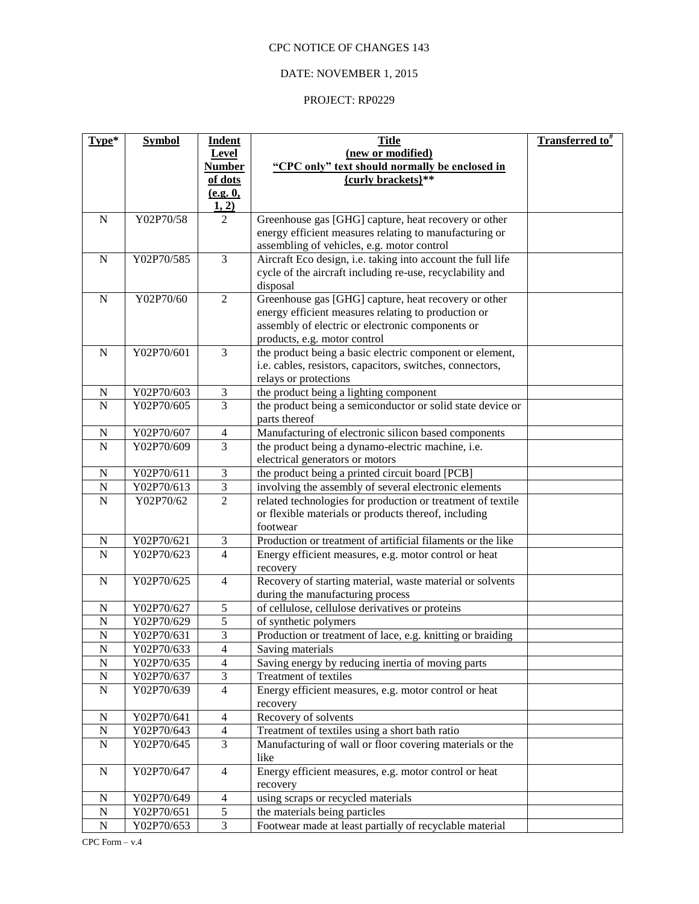# DATE: NOVEMBER 1, 2015

| Type*          | <b>Symbol</b> | <b>Indent</b>               | <b>Title</b>                                                          | <b>Transferred to</b> # |
|----------------|---------------|-----------------------------|-----------------------------------------------------------------------|-------------------------|
|                |               | Level                       | (new or modified)                                                     |                         |
|                |               | <b>Number</b>               | "CPC only" text should normally be enclosed in                        |                         |
|                |               | of dots                     | {curly brackets}**                                                    |                         |
|                |               | (e.g. 0,                    |                                                                       |                         |
|                |               | 1, 2)                       |                                                                       |                         |
| $\mathbf N$    | Y02P70/58     | $\overline{2}$              | Greenhouse gas [GHG] capture, heat recovery or other                  |                         |
|                |               |                             | energy efficient measures relating to manufacturing or                |                         |
|                |               |                             | assembling of vehicles, e.g. motor control                            |                         |
| ${\bf N}$      | Y02P70/585    | 3                           | Aircraft Eco design, i.e. taking into account the full life           |                         |
|                |               |                             | cycle of the aircraft including re-use, recyclability and             |                         |
|                |               |                             | disposal                                                              |                         |
| ${\bf N}$      | Y02P70/60     | $\overline{2}$              | Greenhouse gas [GHG] capture, heat recovery or other                  |                         |
|                |               |                             | energy efficient measures relating to production or                   |                         |
|                |               |                             | assembly of electric or electronic components or                      |                         |
|                |               |                             | products, e.g. motor control                                          |                         |
| $\mathbf N$    | Y02P70/601    | 3                           | the product being a basic electric component or element,              |                         |
|                |               |                             | i.e. cables, resistors, capacitors, switches, connectors,             |                         |
|                |               |                             | relays or protections                                                 |                         |
| $\mathbf N$    | Y02P70/603    | $\ensuremath{\mathfrak{Z}}$ | the product being a lighting component                                |                         |
| $\overline{N}$ | Y02P70/605    | $\overline{3}$              | the product being a semiconductor or solid state device or            |                         |
|                |               |                             | parts thereof                                                         |                         |
| $\mathbf N$    | Y02P70/607    | $\overline{4}$              | Manufacturing of electronic silicon based components                  |                         |
| $\overline{N}$ | Y02P70/609    | $\overline{3}$              | the product being a dynamo-electric machine, i.e.                     |                         |
|                |               |                             | electrical generators or motors                                       |                         |
| $\mathbf N$    | Y02P70/611    | $\ensuremath{\mathfrak{Z}}$ | the product being a printed circuit board [PCB]                       |                         |
| $\mathbf N$    | Y02P70/613    | $\overline{\mathbf{3}}$     | involving the assembly of several electronic elements                 |                         |
| $\overline{N}$ | Y02P70/62     | $\overline{2}$              | related technologies for production or treatment of textile           |                         |
|                |               |                             | or flexible materials or products thereof, including                  |                         |
|                |               |                             | footwear                                                              |                         |
| N              | Y02P70/621    | 3                           | Production or treatment of artificial filaments or the like           |                         |
| $\overline{N}$ | Y02P70/623    | $\overline{4}$              | Energy efficient measures, e.g. motor control or heat                 |                         |
| ${\bf N}$      | Y02P70/625    | $\overline{4}$              | recovery<br>Recovery of starting material, waste material or solvents |                         |
|                |               |                             | during the manufacturing process                                      |                         |
| $\mathbf N$    | Y02P70/627    | 5                           | of cellulose, cellulose derivatives or proteins                       |                         |
| ${\bf N}$      | Y02P70/629    | $\overline{5}$              | of synthetic polymers                                                 |                         |
| $\overline{N}$ | Y02P70/631    | $\overline{3}$              | Production or treatment of lace, e.g. knitting or braiding            |                         |
| ${\bf N}$      | Y02P70/633    | $\overline{4}$              | Saving materials                                                      |                         |
| ${\bf N}$      | Y02P70/635    | $\overline{4}$              | Saving energy by reducing inertia of moving parts                     |                         |
| ${\bf N}$      | Y02P70/637    | $\ensuremath{\mathfrak{Z}}$ | Treatment of textiles                                                 |                         |
| $\mathbf N$    | Y02P70/639    | $\overline{4}$              | Energy efficient measures, e.g. motor control or heat                 |                         |
|                |               |                             | recovery                                                              |                         |
| ${\bf N}$      | Y02P70/641    | $\overline{4}$              | Recovery of solvents                                                  |                         |
| ${\bf N}$      | Y02P70/643    | $\overline{4}$              | Treatment of textiles using a short bath ratio                        |                         |
| ${\bf N}$      | Y02P70/645    | $\overline{3}$              | Manufacturing of wall or floor covering materials or the              |                         |
|                |               |                             | like                                                                  |                         |
| $\mathbf N$    | Y02P70/647    | $\overline{4}$              | Energy efficient measures, e.g. motor control or heat                 |                         |
|                |               |                             | recovery                                                              |                         |
| $\mathbf N$    | Y02P70/649    | $\overline{4}$              | using scraps or recycled materials                                    |                         |
| ${\bf N}$      | Y02P70/651    | $\sqrt{5}$                  | the materials being particles                                         |                         |
| ${\bf N}$      | Y02P70/653    | 3                           | Footwear made at least partially of recyclable material               |                         |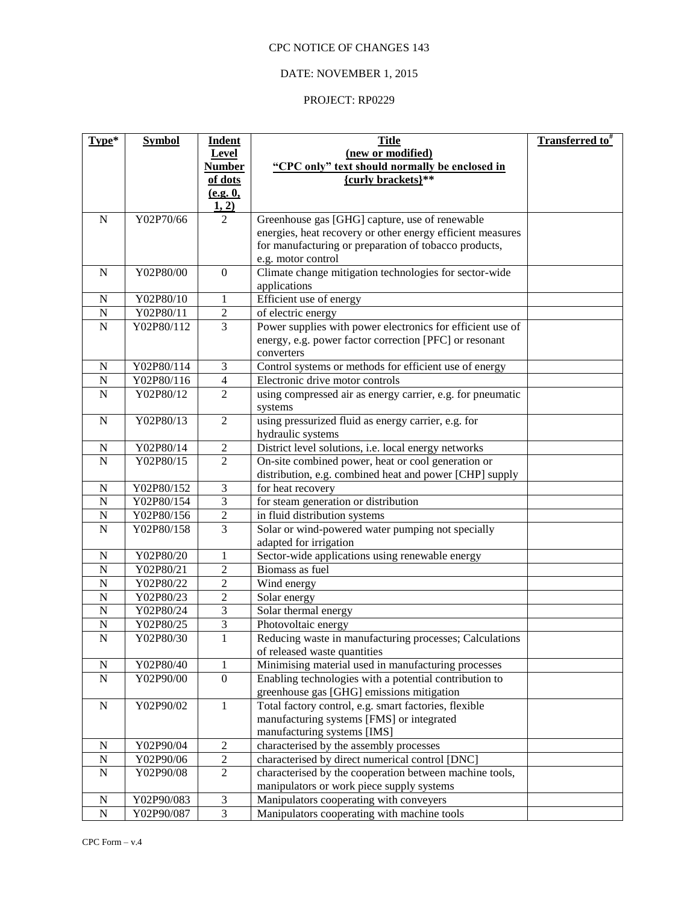## DATE: NOVEMBER 1, 2015

| Type*          | <b>Symbol</b> | <b>Indent</b>           | <b>Title</b>                                                         | <b>Transferred to</b> # |
|----------------|---------------|-------------------------|----------------------------------------------------------------------|-------------------------|
|                |               | Level                   | (new or modified)                                                    |                         |
|                |               | <b>Number</b>           | "CPC only" text should normally be enclosed in                       |                         |
|                |               | of dots                 | {curly brackets}**                                                   |                         |
|                |               | (e.g. 0,                |                                                                      |                         |
|                |               | 1, 2)                   |                                                                      |                         |
| $\mathbf N$    | Y02P70/66     | 2                       | Greenhouse gas [GHG] capture, use of renewable                       |                         |
|                |               |                         | energies, heat recovery or other energy efficient measures           |                         |
|                |               |                         | for manufacturing or preparation of tobacco products,                |                         |
|                |               |                         | e.g. motor control                                                   |                         |
| ${\bf N}$      | Y02P80/00     | $\mathbf{0}$            | Climate change mitigation technologies for sector-wide               |                         |
|                |               |                         | applications                                                         |                         |
| ${\bf N}$      | Y02P80/10     | $\mathbf{1}$            | Efficient use of energy                                              |                         |
| ${\bf N}$      | Y02P80/11     | $\sqrt{2}$              | of electric energy                                                   |                         |
| ${\bf N}$      | Y02P80/112    | $\overline{3}$          | Power supplies with power electronics for efficient use of           |                         |
|                |               |                         | energy, e.g. power factor correction [PFC] or resonant               |                         |
| ${\bf N}$      | Y02P80/114    | 3                       | converters<br>Control systems or methods for efficient use of energy |                         |
| ${\bf N}$      | Y02P80/116    | $\overline{4}$          | Electronic drive motor controls                                      |                         |
| $\mathbf N$    | Y02P80/12     | $\overline{2}$          | using compressed air as energy carrier, e.g. for pneumatic           |                         |
|                |               |                         | systems                                                              |                         |
| $\mathbf N$    | Y02P80/13     | $\overline{2}$          | using pressurized fluid as energy carrier, e.g. for                  |                         |
|                |               |                         | hydraulic systems                                                    |                         |
| N              | Y02P80/14     | $\overline{c}$          | District level solutions, i.e. local energy networks                 |                         |
| $\mathbf N$    | Y02P80/15     | $\overline{2}$          | On-site combined power, heat or cool generation or                   |                         |
|                |               |                         | distribution, e.g. combined heat and power [CHP] supply              |                         |
| ${\bf N}$      | Y02P80/152    | $\mathfrak{Z}$          | for heat recovery                                                    |                         |
| $\overline{N}$ | Y02P80/154    | $\overline{3}$          | for steam generation or distribution                                 |                         |
| ${\bf N}$      | Y02P80/156    | $\overline{2}$          | in fluid distribution systems                                        |                         |
| $\overline{N}$ | Y02P80/158    | $\overline{3}$          | Solar or wind-powered water pumping not specially                    |                         |
|                |               |                         | adapted for irrigation                                               |                         |
| ${\bf N}$      | Y02P80/20     | 1                       | Sector-wide applications using renewable energy                      |                         |
| $\overline{N}$ | Y02P80/21     | $\sqrt{2}$              | Biomass as fuel                                                      |                         |
| $\overline{N}$ | Y02P80/22     | $\overline{c}$          | Wind energy                                                          |                         |
| $\overline{N}$ | Y02P80/23     | $\sqrt{2}$              | Solar energy                                                         |                         |
| $\overline{N}$ | Y02P80/24     | 3                       | Solar thermal energy                                                 |                         |
| $\overline{N}$ | Y02P80/25     | $\overline{\mathbf{3}}$ | Photovoltaic energy                                                  |                         |
| $\mathbf N$    | Y02P80/30     | 1                       | Reducing waste in manufacturing processes; Calculations              |                         |
|                |               |                         | of released waste quantities                                         |                         |
| ${\bf N}$      | Y02P80/40     | 1                       | Minimising material used in manufacturing processes                  |                         |
| ${\bf N}$      | Y02P90/00     | $\boldsymbol{0}$        | Enabling technologies with a potential contribution to               |                         |
|                |               |                         | greenhouse gas [GHG] emissions mitigation                            |                         |
| ${\bf N}$      | Y02P90/02     | $\mathbf{1}$            | Total factory control, e.g. smart factories, flexible                |                         |
|                |               |                         | manufacturing systems [FMS] or integrated                            |                         |
|                |               |                         | manufacturing systems [IMS]                                          |                         |
| ${\bf N}$      | Y02P90/04     | $\overline{2}$          | characterised by the assembly processes                              |                         |
| ${\bf N}$      | Y02P90/06     | $\boldsymbol{2}$        | characterised by direct numerical control [DNC]                      |                         |
| ${\bf N}$      | Y02P90/08     | $\sqrt{2}$              | characterised by the cooperation between machine tools,              |                         |
|                |               |                         | manipulators or work piece supply systems                            |                         |
| ${\bf N}$      | Y02P90/083    | $\overline{3}$          | Manipulators cooperating with conveyers                              |                         |
| $\overline{N}$ | Y02P90/087    | $\overline{3}$          | Manipulators cooperating with machine tools                          |                         |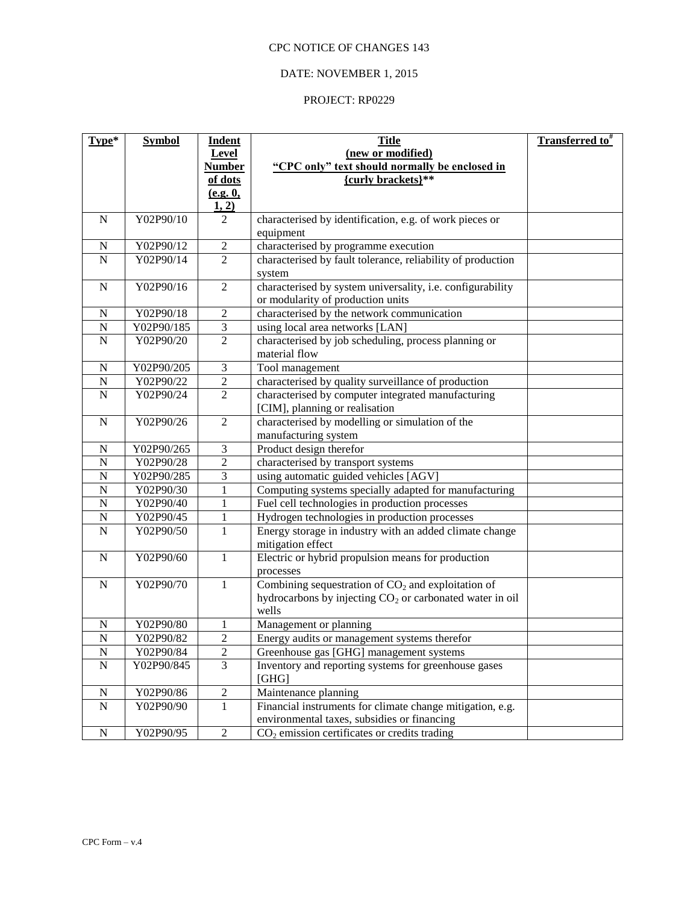## DATE: NOVEMBER 1, 2015

| (new or modified)<br>Level<br>"CPC only" text should normally be enclosed in<br><b>Number</b><br>{curly brackets}**<br>of dots<br>(e.g. 0,<br>1, 2) |  |
|-----------------------------------------------------------------------------------------------------------------------------------------------------|--|
|                                                                                                                                                     |  |
|                                                                                                                                                     |  |
|                                                                                                                                                     |  |
|                                                                                                                                                     |  |
| Y02P90/10<br>characterised by identification, e.g. of work pieces or<br>$\mathbf N$<br>2                                                            |  |
| equipment                                                                                                                                           |  |
| characterised by programme execution<br>Y02P90/12<br>$\sqrt{2}$<br>${\bf N}$                                                                        |  |
| $\mathbf N$<br>$\overline{2}$<br>characterised by fault tolerance, reliability of production<br>Y02P90/14                                           |  |
| system                                                                                                                                              |  |
| characterised by system universality, i.e. configurability<br>$\overline{2}$<br>${\bf N}$<br>Y02P90/16                                              |  |
| or modularity of production units                                                                                                                   |  |
| Y02P90/18<br>$\sqrt{2}$<br>characterised by the network communication<br>${\bf N}$                                                                  |  |
| $\overline{3}$<br>Y02P90/185<br>${\bf N}$<br>using local area networks [LAN]                                                                        |  |
| $\overline{2}$<br>characterised by job scheduling, process planning or<br>${\bf N}$<br>Y02P90/20                                                    |  |
| material flow                                                                                                                                       |  |
| 3<br>${\bf N}$<br>Y02P90/205<br>Tool management                                                                                                     |  |
| characterised by quality surveillance of production<br>Y02P90/22<br>$\overline{\mathbf{c}}$<br>${\bf N}$                                            |  |
| $\overline{2}$<br>characterised by computer integrated manufacturing<br>${\bf N}$<br>Y02P90/24                                                      |  |
| [CIM], planning or realisation                                                                                                                      |  |
| characterised by modelling or simulation of the<br>$\overline{2}$<br>Y02P90/26<br>${\bf N}$                                                         |  |
| manufacturing system                                                                                                                                |  |
| Product design therefor<br>Y02P90/265<br>$\mathfrak{Z}$<br>${\bf N}$                                                                                |  |
| $\overline{2}$<br>$\mathbf N$<br>Y02P90/28<br>characterised by transport systems                                                                    |  |
| using automatic guided vehicles [AGV]<br>$\mathbf N$<br>Y02P90/285<br>3                                                                             |  |
| Computing systems specially adapted for manufacturing<br>${\bf N}$<br>Y02P90/30<br>1                                                                |  |
| Fuel cell technologies in production processes<br>${\bf N}$<br>Y02P90/40<br>1                                                                       |  |
| Hydrogen technologies in production processes<br>Y02P90/45<br>${\bf N}$<br>1                                                                        |  |
| Y02P90/50<br>Energy storage in industry with an added climate change<br>${\bf N}$<br>1                                                              |  |
| mitigation effect                                                                                                                                   |  |
| Electric or hybrid propulsion means for production<br>${\bf N}$<br>Y02P90/60<br>$\mathbf{1}$                                                        |  |
| processes                                                                                                                                           |  |
| Combining sequestration of $CO2$ and exploitation of<br>Y02P90/70<br>$\mathbf{1}$<br>${\bf N}$                                                      |  |
| hydrocarbons by injecting CO <sub>2</sub> or carbonated water in oil                                                                                |  |
| wells<br>Y02P90/80<br>Management or planning                                                                                                        |  |
| $\mathbf N$<br>1<br>$\overline{N}$<br>$\overline{2}$                                                                                                |  |
| Energy audits or management systems therefor<br>Y02P90/82                                                                                           |  |
| ${\bf N}$<br>Y02P90/84<br>Greenhouse gas [GHG] management systems<br>$\sqrt{2}$<br>3                                                                |  |
| Inventory and reporting systems for greenhouse gases<br>${\bf N}$<br>Y02P90/845<br>[GHG]                                                            |  |
| ${\bf N}$<br>Maintenance planning<br>Y02P90/86                                                                                                      |  |
| $\overline{2}$<br>$\overline{N}$<br>$\mathbf{1}$<br>Financial instruments for climate change mitigation, e.g.<br>Y02P90/90                          |  |
| environmental taxes, subsidies or financing                                                                                                         |  |
| Y02P90/95<br>$\sqrt{2}$<br>$CO2$ emission certificates or credits trading<br>${\bf N}$                                                              |  |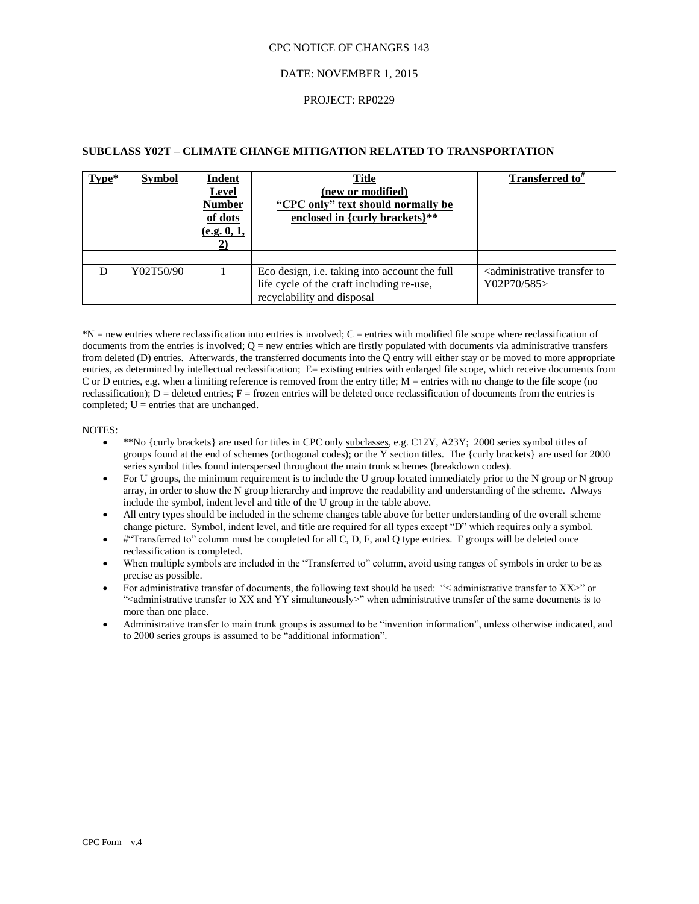#### DATE: NOVEMBER 1, 2015

#### PROJECT: RP0229

### **SUBCLASS Y02T – CLIMATE CHANGE MITIGATION RELATED TO TRANSPORTATION**

| $Type*$ | <b>Symbol</b> | <b>Indent</b><br><b>Level</b><br><b>Number</b><br>of dots<br>(e.g. 0, 1, | <b>Title</b><br>(new or modified)<br>"CPC only" text should normally be<br>enclosed in {curly brackets}**                | Transferred to <sup>*</sup>                                      |
|---------|---------------|--------------------------------------------------------------------------|--------------------------------------------------------------------------------------------------------------------------|------------------------------------------------------------------|
|         |               |                                                                          |                                                                                                                          |                                                                  |
| D       | Y02T50/90     |                                                                          | Eco design, i.e. taking into account the full<br>life cycle of the craft including re-use,<br>recyclability and disposal | <administrative to<br="" transfer="">Y02P70/585</administrative> |

\*N = new entries where reclassification into entries is involved; C = entries with modified file scope where reclassification of documents from the entries is involved;  $Q =$  new entries which are firstly populated with documents via administrative transfers from deleted (D) entries. Afterwards, the transferred documents into the Q entry will either stay or be moved to more appropriate entries, as determined by intellectual reclassification; E= existing entries with enlarged file scope, which receive documents from C or D entries, e.g. when a limiting reference is removed from the entry title; M = entries with no change to the file scope (no reclassification);  $D =$  deleted entries;  $F =$  frozen entries will be deleted once reclassification of documents from the entries is completed;  $U =$  entries that are unchanged.

#### NOTES:

- \*\*No {curly brackets} are used for titles in CPC only subclasses, e.g. C12Y, A23Y; 2000 series symbol titles of groups found at the end of schemes (orthogonal codes); or the Y section titles. The  $\{\text{curly brackets}\}\$  are used for 2000 series symbol titles found interspersed throughout the main trunk schemes (breakdown codes).
- For U groups, the minimum requirement is to include the U group located immediately prior to the N group or N group array, in order to show the N group hierarchy and improve the readability and understanding of the scheme. Always include the symbol, indent level and title of the U group in the table above.
- All entry types should be included in the scheme changes table above for better understanding of the overall scheme change picture. Symbol, indent level, and title are required for all types except "D" which requires only a symbol.
- #"Transferred to" column must be completed for all C, D, F, and Q type entries. F groups will be deleted once reclassification is completed.
- When multiple symbols are included in the "Transferred to" column, avoid using ranges of symbols in order to be as precise as possible.
- For administrative transfer of documents, the following text should be used: "< administrative transfer to XX>" or "<administrative transfer to XX and YY simultaneously>" when administrative transfer of the same documents is to more than one place.
- Administrative transfer to main trunk groups is assumed to be "invention information", unless otherwise indicated, and to 2000 series groups is assumed to be "additional information".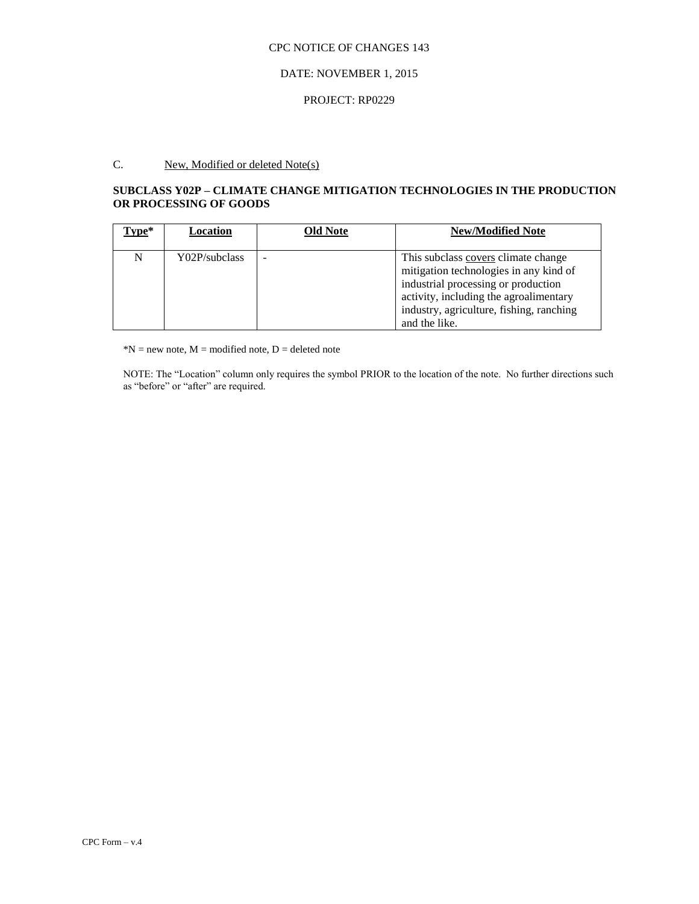## DATE: NOVEMBER 1, 2015

### PROJECT: RP0229

# C. New, Modified or deleted Note(s)

## **SUBCLASS Y02P – CLIMATE CHANGE MITIGATION TECHNOLOGIES IN THE PRODUCTION OR PROCESSING OF GOODS**

| $Type*$ | Location      | <b>Old Note</b> | <b>New/Modified Note</b>                                                                                                                                                                                                    |
|---------|---------------|-----------------|-----------------------------------------------------------------------------------------------------------------------------------------------------------------------------------------------------------------------------|
| N       | Y02P/subclass |                 | This subclass covers climate change<br>mitigation technologies in any kind of<br>industrial processing or production<br>activity, including the agroalimentary<br>industry, agriculture, fishing, ranching<br>and the like. |

 $*N$  = new note,  $M$  = modified note,  $D$  = deleted note

NOTE: The "Location" column only requires the symbol PRIOR to the location of the note. No further directions such as "before" or "after" are required.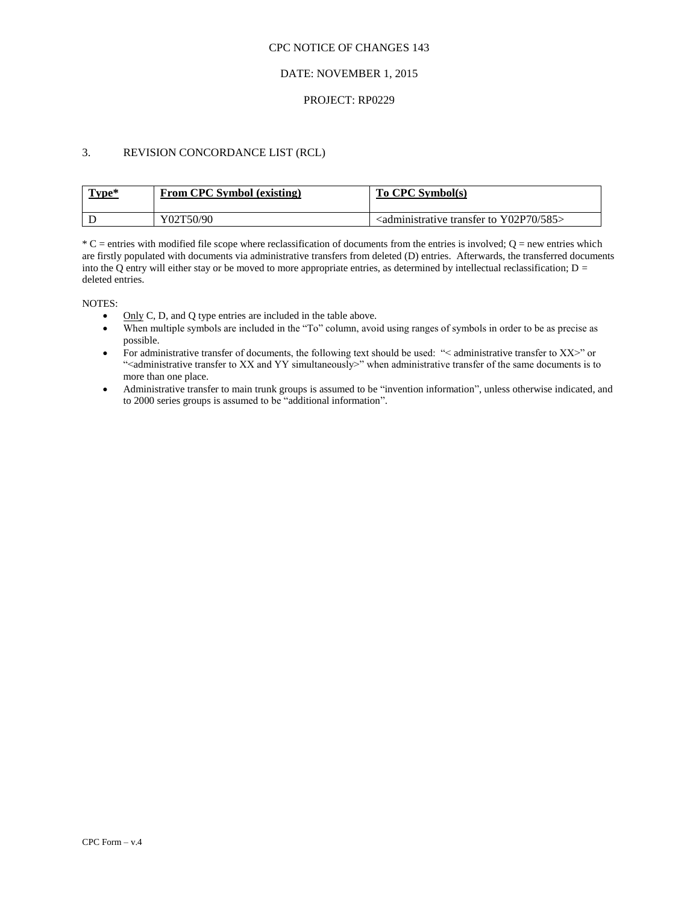## DATE: NOVEMBER 1, 2015

### PROJECT: RP0229

## 3. REVISION CONCORDANCE LIST (RCL)

| Type* | From CPC Symbol (existing) | To CPC Symbol(s)                                                              |
|-------|----------------------------|-------------------------------------------------------------------------------|
|       | Y02T50/90                  | $\alpha$ <administrative 585="" to="" transfer="" y02p70=""></administrative> |

 $^*C$  = entries with modified file scope where reclassification of documents from the entries is involved; O = new entries which are firstly populated with documents via administrative transfers from deleted (D) entries. Afterwards, the transferred documents into the Q entry will either stay or be moved to more appropriate entries, as determined by intellectual reclassification;  $D =$ deleted entries.

NOTES:

- Only C, D, and Q type entries are included in the table above.
- When multiple symbols are included in the "To" column, avoid using ranges of symbols in order to be as precise as possible.
- For administrative transfer of documents, the following text should be used: "< administrative transfer to XX>" or "<administrative transfer to XX and YY simultaneously>" when administrative transfer of the same documents is to more than one place.
- Administrative transfer to main trunk groups is assumed to be "invention information", unless otherwise indicated, and to 2000 series groups is assumed to be "additional information".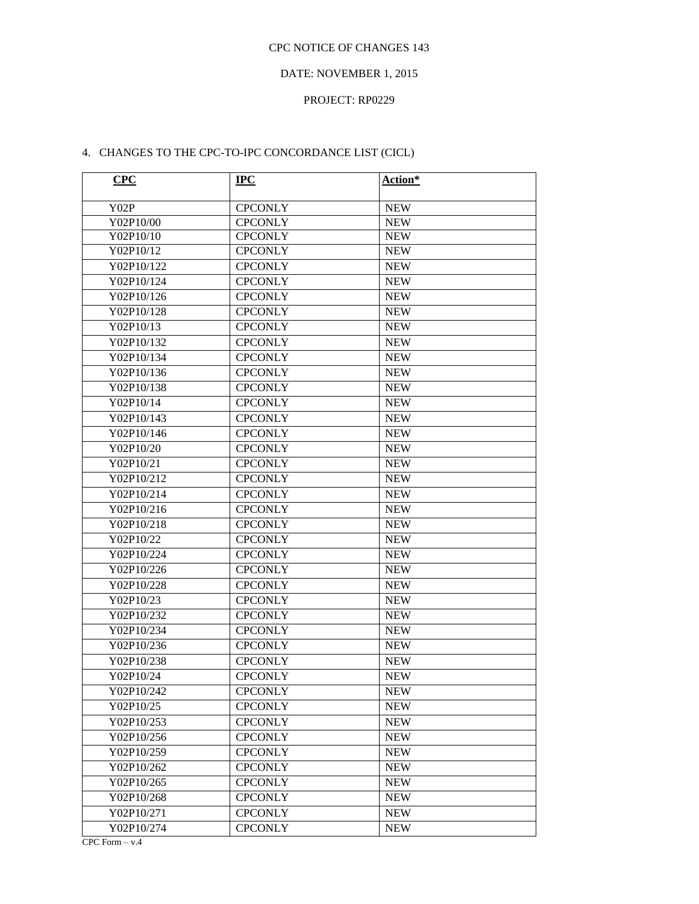## DATE: NOVEMBER 1, 2015

## PROJECT: RP0229

## 4. CHANGES TO THE CPC-TO-IPC CONCORDANCE LIST (CICL)

| <b>CPC</b> | $IPC$          | Action*    |
|------------|----------------|------------|
| Y02P       | <b>CPCONLY</b> | <b>NEW</b> |
| Y02P10/00  | <b>CPCONLY</b> | <b>NEW</b> |
| Y02P10/10  | <b>CPCONLY</b> | <b>NEW</b> |
| Y02P10/12  | <b>CPCONLY</b> | <b>NEW</b> |
| Y02P10/122 | <b>CPCONLY</b> | <b>NEW</b> |
| Y02P10/124 | <b>CPCONLY</b> | <b>NEW</b> |
| Y02P10/126 | <b>CPCONLY</b> | <b>NEW</b> |
| Y02P10/128 | <b>CPCONLY</b> | <b>NEW</b> |
| Y02P10/13  | <b>CPCONLY</b> | <b>NEW</b> |
| Y02P10/132 | <b>CPCONLY</b> | <b>NEW</b> |
| Y02P10/134 | <b>CPCONLY</b> | <b>NEW</b> |
| Y02P10/136 | <b>CPCONLY</b> | <b>NEW</b> |
| Y02P10/138 | <b>CPCONLY</b> | <b>NEW</b> |
| Y02P10/14  | <b>CPCONLY</b> | <b>NEW</b> |
| Y02P10/143 | <b>CPCONLY</b> | <b>NEW</b> |
| Y02P10/146 | <b>CPCONLY</b> | <b>NEW</b> |
| Y02P10/20  | <b>CPCONLY</b> | <b>NEW</b> |
| Y02P10/21  | <b>CPCONLY</b> | <b>NEW</b> |
| Y02P10/212 | <b>CPCONLY</b> | <b>NEW</b> |
| Y02P10/214 | <b>CPCONLY</b> | <b>NEW</b> |
| Y02P10/216 | <b>CPCONLY</b> | <b>NEW</b> |
| Y02P10/218 | <b>CPCONLY</b> | <b>NEW</b> |
| Y02P10/22  | <b>CPCONLY</b> | <b>NEW</b> |
| Y02P10/224 | <b>CPCONLY</b> | <b>NEW</b> |
| Y02P10/226 | <b>CPCONLY</b> | <b>NEW</b> |
| Y02P10/228 | <b>CPCONLY</b> | <b>NEW</b> |
| Y02P10/23  | <b>CPCONLY</b> | <b>NEW</b> |
| Y02P10/232 | <b>CPCONLY</b> | <b>NEW</b> |
| Y02P10/234 | <b>CPCONLY</b> | <b>NEW</b> |
| Y02P10/236 | <b>CPCONLY</b> | <b>NEW</b> |
| Y02P10/238 | <b>CPCONLY</b> | <b>NEW</b> |
| Y02P10/24  | <b>CPCONLY</b> | <b>NEW</b> |
| Y02P10/242 | <b>CPCONLY</b> | <b>NEW</b> |
| Y02P10/25  | <b>CPCONLY</b> | <b>NEW</b> |
| Y02P10/253 | <b>CPCONLY</b> | <b>NEW</b> |
| Y02P10/256 | <b>CPCONLY</b> | <b>NEW</b> |
| Y02P10/259 | <b>CPCONLY</b> | <b>NEW</b> |
| Y02P10/262 | <b>CPCONLY</b> | <b>NEW</b> |
| Y02P10/265 | <b>CPCONLY</b> | <b>NEW</b> |
| Y02P10/268 | <b>CPCONLY</b> | <b>NEW</b> |
| Y02P10/271 | <b>CPCONLY</b> | <b>NEW</b> |
| Y02P10/274 | <b>CPCONLY</b> | <b>NEW</b> |

 $CPC Form - v.4$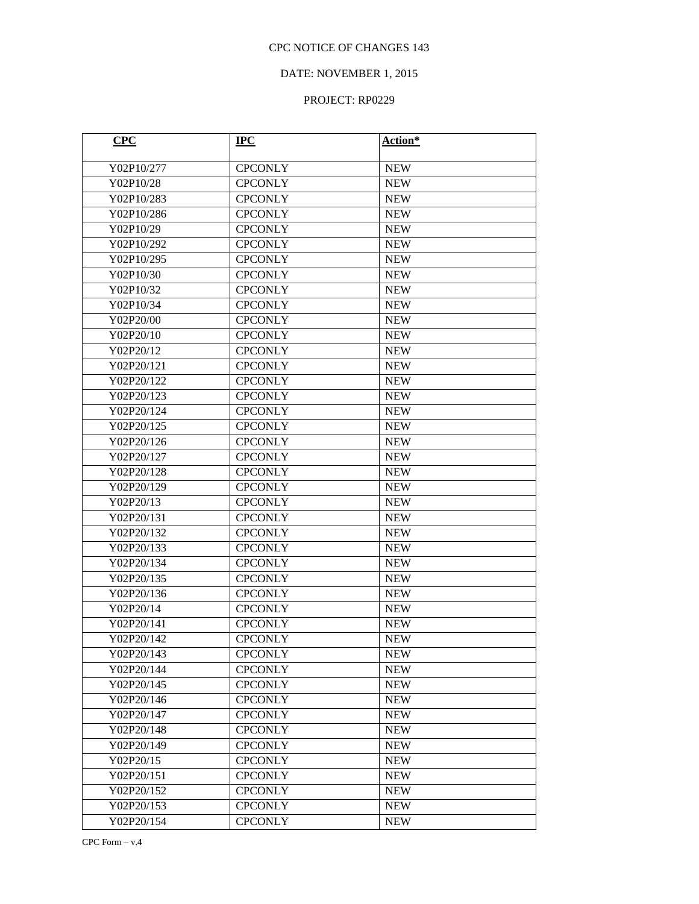## DATE: NOVEMBER 1, 2015

| CPC        | $IPC$          | Action*    |
|------------|----------------|------------|
| Y02P10/277 | <b>CPCONLY</b> | <b>NEW</b> |
| Y02P10/28  | <b>CPCONLY</b> | <b>NEW</b> |
| Y02P10/283 | <b>CPCONLY</b> | <b>NEW</b> |
| Y02P10/286 | <b>CPCONLY</b> | <b>NEW</b> |
| Y02P10/29  | <b>CPCONLY</b> | <b>NEW</b> |
| Y02P10/292 | <b>CPCONLY</b> | <b>NEW</b> |
| Y02P10/295 | <b>CPCONLY</b> | <b>NEW</b> |
| Y02P10/30  | <b>CPCONLY</b> | <b>NEW</b> |
| Y02P10/32  | <b>CPCONLY</b> | <b>NEW</b> |
| Y02P10/34  | <b>CPCONLY</b> | <b>NEW</b> |
| Y02P20/00  | <b>CPCONLY</b> | <b>NEW</b> |
| Y02P20/10  | <b>CPCONLY</b> | <b>NEW</b> |
| Y02P20/12  | <b>CPCONLY</b> | <b>NEW</b> |
| Y02P20/121 | <b>CPCONLY</b> | <b>NEW</b> |
| Y02P20/122 | <b>CPCONLY</b> | <b>NEW</b> |
| Y02P20/123 | <b>CPCONLY</b> | <b>NEW</b> |
| Y02P20/124 | <b>CPCONLY</b> | <b>NEW</b> |
| Y02P20/125 | <b>CPCONLY</b> | <b>NEW</b> |
| Y02P20/126 | <b>CPCONLY</b> | <b>NEW</b> |
| Y02P20/127 | <b>CPCONLY</b> | <b>NEW</b> |
| Y02P20/128 | <b>CPCONLY</b> | <b>NEW</b> |
| Y02P20/129 | <b>CPCONLY</b> | <b>NEW</b> |
| Y02P20/13  | <b>CPCONLY</b> | <b>NEW</b> |
| Y02P20/131 | <b>CPCONLY</b> | <b>NEW</b> |
| Y02P20/132 | <b>CPCONLY</b> | <b>NEW</b> |
| Y02P20/133 | <b>CPCONLY</b> | <b>NEW</b> |
| Y02P20/134 | <b>CPCONLY</b> | <b>NEW</b> |
| Y02P20/135 | <b>CPCONLY</b> | <b>NEW</b> |
| Y02P20/136 | <b>CPCONLY</b> | <b>NEW</b> |
| Y02P20/14  | <b>CPCONLY</b> | <b>NEW</b> |
| Y02P20/141 | <b>CPCONLY</b> | <b>NEW</b> |
| Y02P20/142 | <b>CPCONLY</b> | <b>NEW</b> |
| Y02P20/143 | <b>CPCONLY</b> | <b>NEW</b> |
| Y02P20/144 | <b>CPCONLY</b> | <b>NEW</b> |
| Y02P20/145 | <b>CPCONLY</b> | <b>NEW</b> |
| Y02P20/146 | <b>CPCONLY</b> | <b>NEW</b> |
| Y02P20/147 | <b>CPCONLY</b> | <b>NEW</b> |
| Y02P20/148 | <b>CPCONLY</b> | <b>NEW</b> |
| Y02P20/149 | <b>CPCONLY</b> | <b>NEW</b> |
| Y02P20/15  | <b>CPCONLY</b> | <b>NEW</b> |
| Y02P20/151 | <b>CPCONLY</b> | <b>NEW</b> |
| Y02P20/152 | <b>CPCONLY</b> | <b>NEW</b> |
| Y02P20/153 | <b>CPCONLY</b> | <b>NEW</b> |
| Y02P20/154 | <b>CPCONLY</b> | <b>NEW</b> |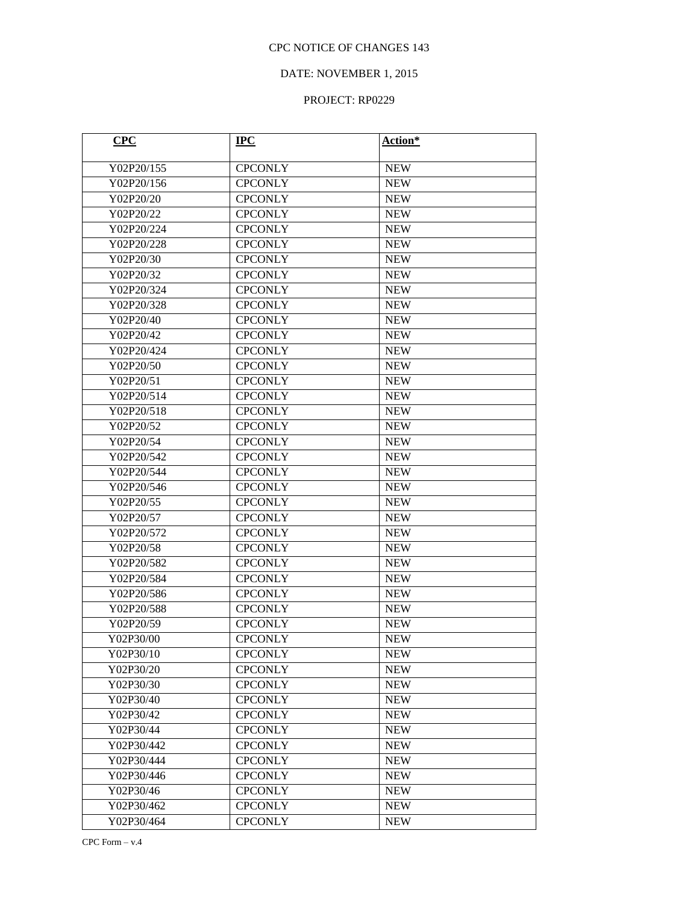## DATE: NOVEMBER 1, 2015

| CPC        | $IPC$          | Action*    |
|------------|----------------|------------|
| Y02P20/155 | <b>CPCONLY</b> | <b>NEW</b> |
| Y02P20/156 | <b>CPCONLY</b> | <b>NEW</b> |
| Y02P20/20  | <b>CPCONLY</b> | <b>NEW</b> |
| Y02P20/22  | <b>CPCONLY</b> | <b>NEW</b> |
| Y02P20/224 | <b>CPCONLY</b> | <b>NEW</b> |
| Y02P20/228 | <b>CPCONLY</b> | <b>NEW</b> |
| Y02P20/30  | <b>CPCONLY</b> | <b>NEW</b> |
| Y02P20/32  | <b>CPCONLY</b> | <b>NEW</b> |
| Y02P20/324 | <b>CPCONLY</b> | <b>NEW</b> |
| Y02P20/328 | <b>CPCONLY</b> | <b>NEW</b> |
| Y02P20/40  | <b>CPCONLY</b> | <b>NEW</b> |
| Y02P20/42  | <b>CPCONLY</b> | <b>NEW</b> |
| Y02P20/424 | <b>CPCONLY</b> | <b>NEW</b> |
| Y02P20/50  | <b>CPCONLY</b> | <b>NEW</b> |
| Y02P20/51  | <b>CPCONLY</b> | <b>NEW</b> |
| Y02P20/514 | <b>CPCONLY</b> | <b>NEW</b> |
| Y02P20/518 | <b>CPCONLY</b> | <b>NEW</b> |
| Y02P20/52  | <b>CPCONLY</b> | <b>NEW</b> |
| Y02P20/54  | <b>CPCONLY</b> | <b>NEW</b> |
| Y02P20/542 | <b>CPCONLY</b> | <b>NEW</b> |
| Y02P20/544 | <b>CPCONLY</b> | <b>NEW</b> |
| Y02P20/546 | <b>CPCONLY</b> | <b>NEW</b> |
| Y02P20/55  | <b>CPCONLY</b> | <b>NEW</b> |
| Y02P20/57  | <b>CPCONLY</b> | <b>NEW</b> |
| Y02P20/572 | <b>CPCONLY</b> | <b>NEW</b> |
| Y02P20/58  | <b>CPCONLY</b> | <b>NEW</b> |
| Y02P20/582 | <b>CPCONLY</b> | <b>NEW</b> |
| Y02P20/584 | <b>CPCONLY</b> | <b>NEW</b> |
| Y02P20/586 | <b>CPCONLY</b> | <b>NEW</b> |
| Y02P20/588 | <b>CPCONLY</b> | <b>NEW</b> |
| Y02P20/59  | <b>CPCONLY</b> | <b>NEW</b> |
| Y02P30/00  | <b>CPCONLY</b> | <b>NEW</b> |
| Y02P30/10  | <b>CPCONLY</b> | <b>NEW</b> |
| Y02P30/20  | <b>CPCONLY</b> | <b>NEW</b> |
| Y02P30/30  | <b>CPCONLY</b> | <b>NEW</b> |
| Y02P30/40  | <b>CPCONLY</b> | <b>NEW</b> |
| Y02P30/42  | <b>CPCONLY</b> | <b>NEW</b> |
| Y02P30/44  | <b>CPCONLY</b> | <b>NEW</b> |
| Y02P30/442 | <b>CPCONLY</b> | <b>NEW</b> |
| Y02P30/444 | <b>CPCONLY</b> | <b>NEW</b> |
| Y02P30/446 | <b>CPCONLY</b> | <b>NEW</b> |
| Y02P30/46  | <b>CPCONLY</b> | <b>NEW</b> |
| Y02P30/462 | <b>CPCONLY</b> | <b>NEW</b> |
| Y02P30/464 | <b>CPCONLY</b> | <b>NEW</b> |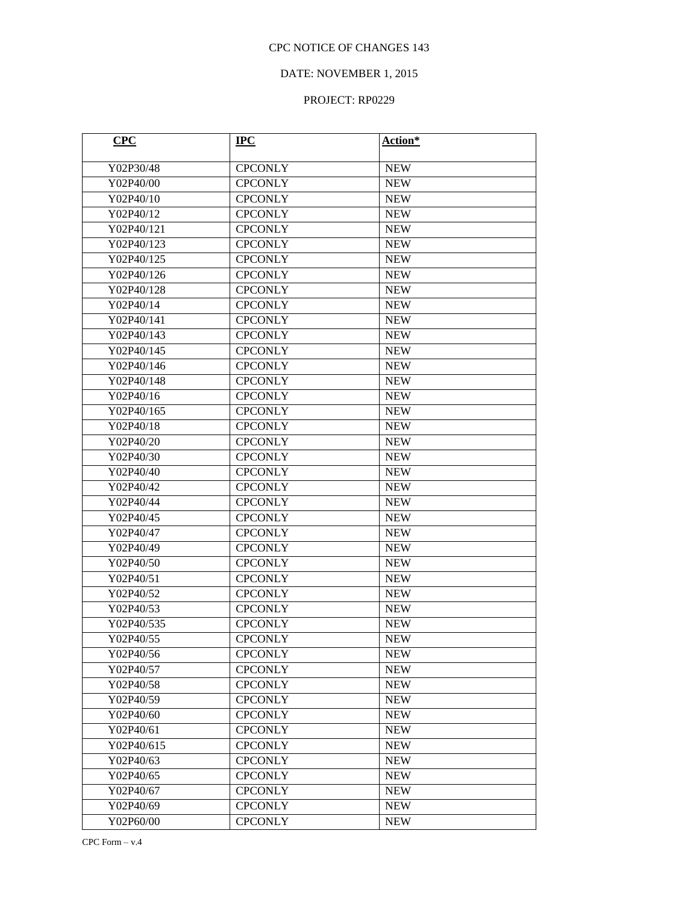## DATE: NOVEMBER 1, 2015

| CPC        | $IPC$          | Action*    |
|------------|----------------|------------|
| Y02P30/48  | <b>CPCONLY</b> | <b>NEW</b> |
| Y02P40/00  | <b>CPCONLY</b> | <b>NEW</b> |
| Y02P40/10  | <b>CPCONLY</b> | <b>NEW</b> |
| Y02P40/12  | <b>CPCONLY</b> | <b>NEW</b> |
| Y02P40/121 | <b>CPCONLY</b> | <b>NEW</b> |
| Y02P40/123 | <b>CPCONLY</b> | <b>NEW</b> |
| Y02P40/125 | <b>CPCONLY</b> | <b>NEW</b> |
| Y02P40/126 | <b>CPCONLY</b> | <b>NEW</b> |
| Y02P40/128 | <b>CPCONLY</b> | <b>NEW</b> |
| Y02P40/14  | <b>CPCONLY</b> | <b>NEW</b> |
| Y02P40/141 | <b>CPCONLY</b> | <b>NEW</b> |
| Y02P40/143 | <b>CPCONLY</b> | <b>NEW</b> |
| Y02P40/145 | <b>CPCONLY</b> | <b>NEW</b> |
| Y02P40/146 | <b>CPCONLY</b> | <b>NEW</b> |
| Y02P40/148 | <b>CPCONLY</b> | <b>NEW</b> |
| Y02P40/16  | <b>CPCONLY</b> | <b>NEW</b> |
| Y02P40/165 | <b>CPCONLY</b> | <b>NEW</b> |
| Y02P40/18  | <b>CPCONLY</b> | <b>NEW</b> |
| Y02P40/20  | <b>CPCONLY</b> | <b>NEW</b> |
| Y02P40/30  | <b>CPCONLY</b> | <b>NEW</b> |
| Y02P40/40  | <b>CPCONLY</b> | <b>NEW</b> |
| Y02P40/42  | <b>CPCONLY</b> | <b>NEW</b> |
| Y02P40/44  | <b>CPCONLY</b> | <b>NEW</b> |
| Y02P40/45  | <b>CPCONLY</b> | <b>NEW</b> |
| Y02P40/47  | <b>CPCONLY</b> | <b>NEW</b> |
| Y02P40/49  | <b>CPCONLY</b> | <b>NEW</b> |
| Y02P40/50  | <b>CPCONLY</b> | <b>NEW</b> |
| Y02P40/51  | <b>CPCONLY</b> | <b>NEW</b> |
| Y02P40/52  | <b>CPCONLY</b> | <b>NEW</b> |
| Y02P40/53  | <b>CPCONLY</b> | <b>NEW</b> |
| Y02P40/535 | <b>CPCONLY</b> | <b>NEW</b> |
| Y02P40/55  | <b>CPCONLY</b> | <b>NEW</b> |
| Y02P40/56  | <b>CPCONLY</b> | <b>NEW</b> |
| Y02P40/57  | <b>CPCONLY</b> | <b>NEW</b> |
| Y02P40/58  | <b>CPCONLY</b> | <b>NEW</b> |
| Y02P40/59  | <b>CPCONLY</b> | <b>NEW</b> |
| Y02P40/60  | <b>CPCONLY</b> | <b>NEW</b> |
| Y02P40/61  | <b>CPCONLY</b> | <b>NEW</b> |
| Y02P40/615 | <b>CPCONLY</b> | <b>NEW</b> |
| Y02P40/63  | <b>CPCONLY</b> | <b>NEW</b> |
| Y02P40/65  | <b>CPCONLY</b> | <b>NEW</b> |
| Y02P40/67  | <b>CPCONLY</b> | <b>NEW</b> |
| Y02P40/69  | <b>CPCONLY</b> | <b>NEW</b> |
| Y02P60/00  | <b>CPCONLY</b> | <b>NEW</b> |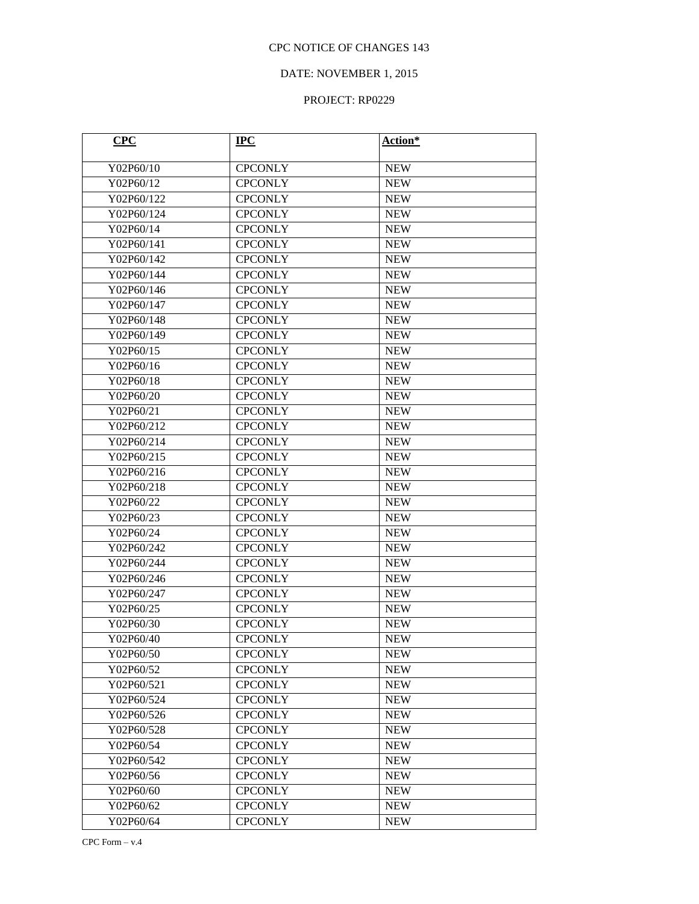## DATE: NOVEMBER 1, 2015

| CPC        | $IPC$          | Action*    |
|------------|----------------|------------|
| Y02P60/10  | <b>CPCONLY</b> | <b>NEW</b> |
| Y02P60/12  | <b>CPCONLY</b> | <b>NEW</b> |
| Y02P60/122 | <b>CPCONLY</b> | <b>NEW</b> |
| Y02P60/124 | <b>CPCONLY</b> | <b>NEW</b> |
| Y02P60/14  | <b>CPCONLY</b> | <b>NEW</b> |
| Y02P60/141 | <b>CPCONLY</b> | <b>NEW</b> |
| Y02P60/142 | <b>CPCONLY</b> | <b>NEW</b> |
| Y02P60/144 | <b>CPCONLY</b> | <b>NEW</b> |
| Y02P60/146 | <b>CPCONLY</b> | <b>NEW</b> |
| Y02P60/147 | <b>CPCONLY</b> | <b>NEW</b> |
| Y02P60/148 | <b>CPCONLY</b> | <b>NEW</b> |
| Y02P60/149 | <b>CPCONLY</b> | <b>NEW</b> |
| Y02P60/15  | <b>CPCONLY</b> | <b>NEW</b> |
| Y02P60/16  | <b>CPCONLY</b> | <b>NEW</b> |
| Y02P60/18  | <b>CPCONLY</b> | <b>NEW</b> |
| Y02P60/20  | <b>CPCONLY</b> | <b>NEW</b> |
| Y02P60/21  | <b>CPCONLY</b> | <b>NEW</b> |
| Y02P60/212 | <b>CPCONLY</b> | <b>NEW</b> |
| Y02P60/214 | <b>CPCONLY</b> | <b>NEW</b> |
| Y02P60/215 | <b>CPCONLY</b> | <b>NEW</b> |
| Y02P60/216 | <b>CPCONLY</b> | <b>NEW</b> |
| Y02P60/218 | <b>CPCONLY</b> | <b>NEW</b> |
| Y02P60/22  | <b>CPCONLY</b> | <b>NEW</b> |
| Y02P60/23  | <b>CPCONLY</b> | <b>NEW</b> |
| Y02P60/24  | <b>CPCONLY</b> | <b>NEW</b> |
| Y02P60/242 | <b>CPCONLY</b> | <b>NEW</b> |
| Y02P60/244 | <b>CPCONLY</b> | <b>NEW</b> |
| Y02P60/246 | <b>CPCONLY</b> | <b>NEW</b> |
| Y02P60/247 | <b>CPCONLY</b> | <b>NEW</b> |
| Y02P60/25  | <b>CPCONLY</b> | <b>NEW</b> |
| Y02P60/30  | <b>CPCONLY</b> | <b>NEW</b> |
| Y02P60/40  | <b>CPCONLY</b> | <b>NEW</b> |
| Y02P60/50  | <b>CPCONLY</b> | <b>NEW</b> |
| Y02P60/52  | <b>CPCONLY</b> | <b>NEW</b> |
| Y02P60/521 | <b>CPCONLY</b> | <b>NEW</b> |
| Y02P60/524 | <b>CPCONLY</b> | <b>NEW</b> |
| Y02P60/526 | <b>CPCONLY</b> | <b>NEW</b> |
| Y02P60/528 | <b>CPCONLY</b> | <b>NEW</b> |
| Y02P60/54  | <b>CPCONLY</b> | <b>NEW</b> |
| Y02P60/542 | <b>CPCONLY</b> | <b>NEW</b> |
| Y02P60/56  | <b>CPCONLY</b> | <b>NEW</b> |
| Y02P60/60  | <b>CPCONLY</b> | <b>NEW</b> |
| Y02P60/62  | <b>CPCONLY</b> | <b>NEW</b> |
| Y02P60/64  | <b>CPCONLY</b> | <b>NEW</b> |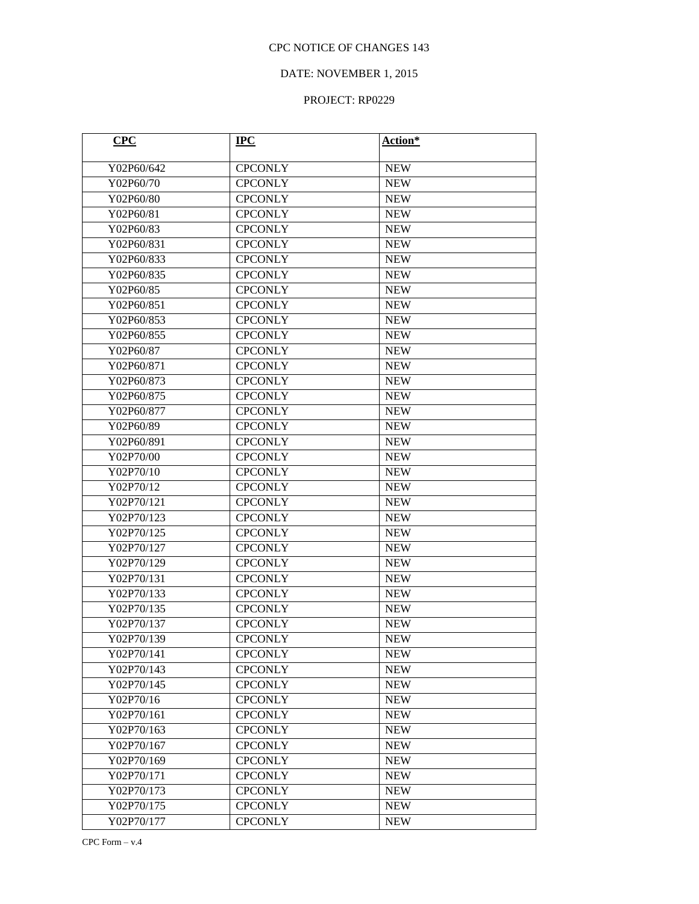# DATE: NOVEMBER 1, 2015

| CPC        | $IPC$          | Action*    |
|------------|----------------|------------|
| Y02P60/642 | <b>CPCONLY</b> | <b>NEW</b> |
| Y02P60/70  | <b>CPCONLY</b> | <b>NEW</b> |
| Y02P60/80  | <b>CPCONLY</b> | <b>NEW</b> |
| Y02P60/81  | <b>CPCONLY</b> | <b>NEW</b> |
| Y02P60/83  | <b>CPCONLY</b> | <b>NEW</b> |
| Y02P60/831 | <b>CPCONLY</b> | <b>NEW</b> |
| Y02P60/833 | <b>CPCONLY</b> | <b>NEW</b> |
| Y02P60/835 | <b>CPCONLY</b> | <b>NEW</b> |
| Y02P60/85  | <b>CPCONLY</b> | <b>NEW</b> |
| Y02P60/851 | <b>CPCONLY</b> | <b>NEW</b> |
| Y02P60/853 | <b>CPCONLY</b> | <b>NEW</b> |
| Y02P60/855 | <b>CPCONLY</b> | <b>NEW</b> |
| Y02P60/87  | <b>CPCONLY</b> | <b>NEW</b> |
| Y02P60/871 | <b>CPCONLY</b> | <b>NEW</b> |
| Y02P60/873 | <b>CPCONLY</b> | <b>NEW</b> |
| Y02P60/875 | <b>CPCONLY</b> | <b>NEW</b> |
| Y02P60/877 | <b>CPCONLY</b> | <b>NEW</b> |
| Y02P60/89  | <b>CPCONLY</b> | <b>NEW</b> |
| Y02P60/891 | <b>CPCONLY</b> | <b>NEW</b> |
| Y02P70/00  | <b>CPCONLY</b> | <b>NEW</b> |
| Y02P70/10  | <b>CPCONLY</b> | <b>NEW</b> |
| Y02P70/12  | <b>CPCONLY</b> | <b>NEW</b> |
| Y02P70/121 | <b>CPCONLY</b> | <b>NEW</b> |
| Y02P70/123 | <b>CPCONLY</b> | <b>NEW</b> |
| Y02P70/125 | <b>CPCONLY</b> | <b>NEW</b> |
| Y02P70/127 | <b>CPCONLY</b> | <b>NEW</b> |
| Y02P70/129 | <b>CPCONLY</b> | <b>NEW</b> |
| Y02P70/131 | <b>CPCONLY</b> | <b>NEW</b> |
| Y02P70/133 | <b>CPCONLY</b> | <b>NEW</b> |
| Y02P70/135 | <b>CPCONLY</b> | <b>NEW</b> |
| Y02P70/137 | <b>CPCONLY</b> | <b>NEW</b> |
| Y02P70/139 | <b>CPCONLY</b> | <b>NEW</b> |
| Y02P70/141 | <b>CPCONLY</b> | <b>NEW</b> |
| Y02P70/143 | <b>CPCONLY</b> | <b>NEW</b> |
| Y02P70/145 | <b>CPCONLY</b> | <b>NEW</b> |
| Y02P70/16  | <b>CPCONLY</b> | <b>NEW</b> |
| Y02P70/161 | <b>CPCONLY</b> | <b>NEW</b> |
| Y02P70/163 | <b>CPCONLY</b> | <b>NEW</b> |
| Y02P70/167 | <b>CPCONLY</b> | <b>NEW</b> |
| Y02P70/169 | <b>CPCONLY</b> | <b>NEW</b> |
| Y02P70/171 | <b>CPCONLY</b> | <b>NEW</b> |
| Y02P70/173 | <b>CPCONLY</b> | <b>NEW</b> |
| Y02P70/175 | <b>CPCONLY</b> | <b>NEW</b> |
| Y02P70/177 | <b>CPCONLY</b> | <b>NEW</b> |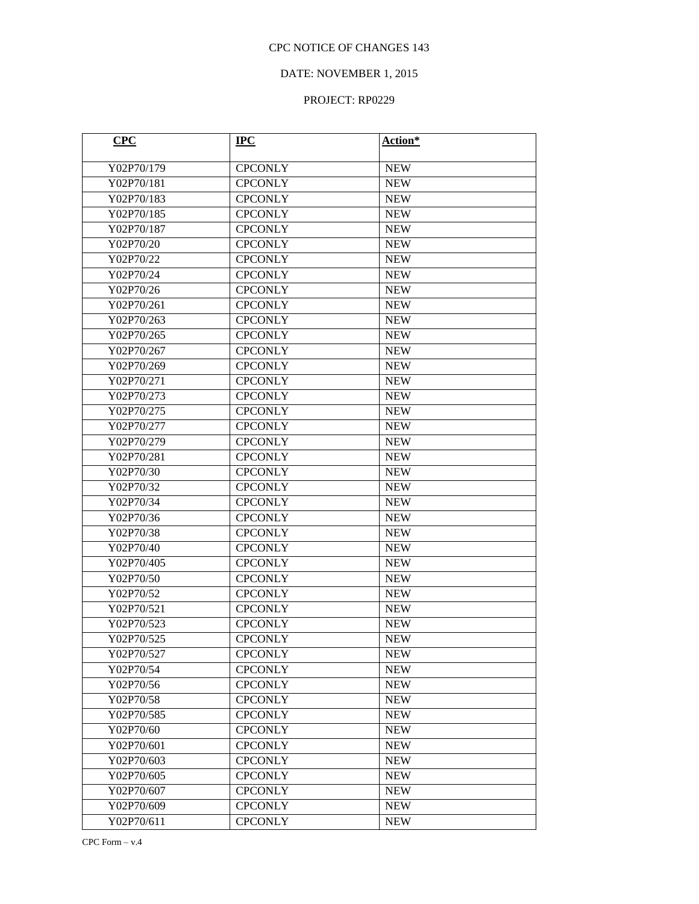# DATE: NOVEMBER 1, 2015

| CPC        | $IPC$          | Action*    |
|------------|----------------|------------|
| Y02P70/179 | <b>CPCONLY</b> | <b>NEW</b> |
| Y02P70/181 | <b>CPCONLY</b> | <b>NEW</b> |
| Y02P70/183 | <b>CPCONLY</b> | <b>NEW</b> |
| Y02P70/185 | <b>CPCONLY</b> | <b>NEW</b> |
| Y02P70/187 | <b>CPCONLY</b> | <b>NEW</b> |
| Y02P70/20  | <b>CPCONLY</b> | <b>NEW</b> |
| Y02P70/22  | <b>CPCONLY</b> | <b>NEW</b> |
| Y02P70/24  | <b>CPCONLY</b> | <b>NEW</b> |
| Y02P70/26  | <b>CPCONLY</b> | <b>NEW</b> |
| Y02P70/261 | <b>CPCONLY</b> | <b>NEW</b> |
| Y02P70/263 | <b>CPCONLY</b> | <b>NEW</b> |
| Y02P70/265 | <b>CPCONLY</b> | <b>NEW</b> |
| Y02P70/267 | <b>CPCONLY</b> | <b>NEW</b> |
| Y02P70/269 | <b>CPCONLY</b> | <b>NEW</b> |
| Y02P70/271 | <b>CPCONLY</b> | <b>NEW</b> |
| Y02P70/273 | <b>CPCONLY</b> | <b>NEW</b> |
| Y02P70/275 | <b>CPCONLY</b> | <b>NEW</b> |
| Y02P70/277 | <b>CPCONLY</b> | <b>NEW</b> |
| Y02P70/279 | <b>CPCONLY</b> | <b>NEW</b> |
| Y02P70/281 | <b>CPCONLY</b> | <b>NEW</b> |
| Y02P70/30  | <b>CPCONLY</b> | <b>NEW</b> |
| Y02P70/32  | <b>CPCONLY</b> | <b>NEW</b> |
| Y02P70/34  | <b>CPCONLY</b> | <b>NEW</b> |
| Y02P70/36  | <b>CPCONLY</b> | <b>NEW</b> |
| Y02P70/38  | <b>CPCONLY</b> | <b>NEW</b> |
| Y02P70/40  | <b>CPCONLY</b> | <b>NEW</b> |
| Y02P70/405 | <b>CPCONLY</b> | <b>NEW</b> |
| Y02P70/50  | <b>CPCONLY</b> | <b>NEW</b> |
| Y02P70/52  | <b>CPCONLY</b> | <b>NEW</b> |
| Y02P70/521 | <b>CPCONLY</b> | <b>NEW</b> |
| Y02P70/523 | <b>CPCONLY</b> | <b>NEW</b> |
| Y02P70/525 | <b>CPCONLY</b> | <b>NEW</b> |
| Y02P70/527 | <b>CPCONLY</b> | <b>NEW</b> |
| Y02P70/54  | <b>CPCONLY</b> | <b>NEW</b> |
| Y02P70/56  | <b>CPCONLY</b> | <b>NEW</b> |
| Y02P70/58  | <b>CPCONLY</b> | <b>NEW</b> |
| Y02P70/585 | <b>CPCONLY</b> | <b>NEW</b> |
| Y02P70/60  | <b>CPCONLY</b> | <b>NEW</b> |
| Y02P70/601 | <b>CPCONLY</b> | <b>NEW</b> |
| Y02P70/603 | <b>CPCONLY</b> | <b>NEW</b> |
| Y02P70/605 | <b>CPCONLY</b> | <b>NEW</b> |
| Y02P70/607 | <b>CPCONLY</b> | <b>NEW</b> |
| Y02P70/609 | <b>CPCONLY</b> | <b>NEW</b> |
| Y02P70/611 | <b>CPCONLY</b> | <b>NEW</b> |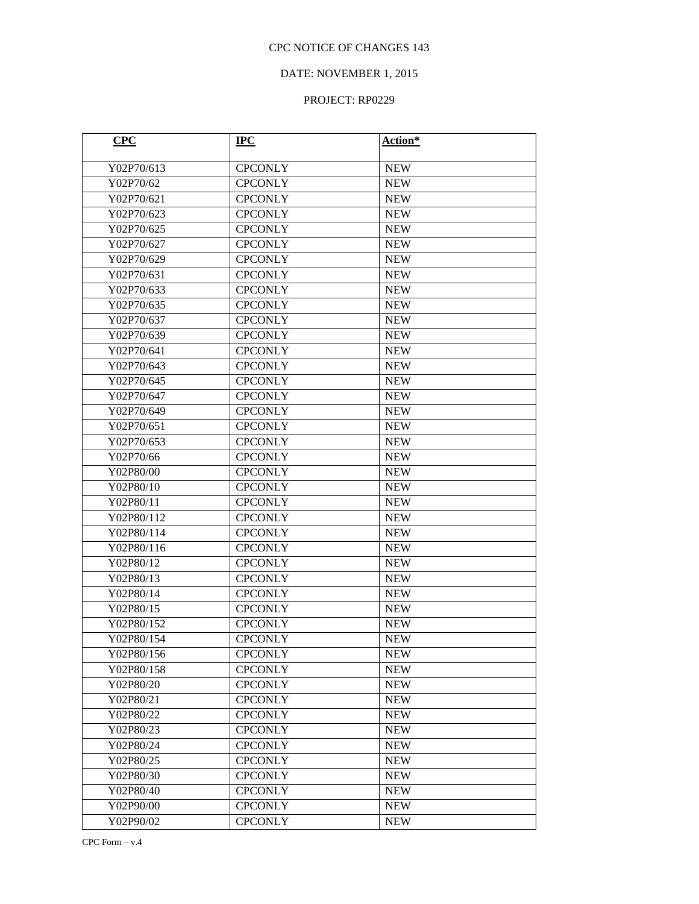## DATE: NOVEMBER 1, 2015

| CPC        | $IPC$          | Action*    |
|------------|----------------|------------|
| Y02P70/613 | <b>CPCONLY</b> | <b>NEW</b> |
| Y02P70/62  | <b>CPCONLY</b> | <b>NEW</b> |
| Y02P70/621 | <b>CPCONLY</b> | <b>NEW</b> |
| Y02P70/623 | <b>CPCONLY</b> | <b>NEW</b> |
| Y02P70/625 | <b>CPCONLY</b> | <b>NEW</b> |
| Y02P70/627 | <b>CPCONLY</b> | <b>NEW</b> |
| Y02P70/629 | <b>CPCONLY</b> | <b>NEW</b> |
| Y02P70/631 | <b>CPCONLY</b> | <b>NEW</b> |
| Y02P70/633 | <b>CPCONLY</b> | <b>NEW</b> |
| Y02P70/635 | <b>CPCONLY</b> | <b>NEW</b> |
| Y02P70/637 | <b>CPCONLY</b> | <b>NEW</b> |
| Y02P70/639 | <b>CPCONLY</b> | <b>NEW</b> |
| Y02P70/641 | <b>CPCONLY</b> | <b>NEW</b> |
| Y02P70/643 | <b>CPCONLY</b> | <b>NEW</b> |
| Y02P70/645 | <b>CPCONLY</b> | <b>NEW</b> |
| Y02P70/647 | <b>CPCONLY</b> | <b>NEW</b> |
| Y02P70/649 | <b>CPCONLY</b> | <b>NEW</b> |
| Y02P70/651 | <b>CPCONLY</b> | <b>NEW</b> |
| Y02P70/653 | <b>CPCONLY</b> | <b>NEW</b> |
| Y02P70/66  | <b>CPCONLY</b> | <b>NEW</b> |
| Y02P80/00  | <b>CPCONLY</b> | <b>NEW</b> |
| Y02P80/10  | <b>CPCONLY</b> | <b>NEW</b> |
| Y02P80/11  | <b>CPCONLY</b> | <b>NEW</b> |
| Y02P80/112 | <b>CPCONLY</b> | <b>NEW</b> |
| Y02P80/114 | <b>CPCONLY</b> | <b>NEW</b> |
| Y02P80/116 | <b>CPCONLY</b> | <b>NEW</b> |
| Y02P80/12  | <b>CPCONLY</b> | <b>NEW</b> |
| Y02P80/13  | <b>CPCONLY</b> | <b>NEW</b> |
| Y02P80/14  | <b>CPCONLY</b> | <b>NEW</b> |
| Y02P80/15  | <b>CPCONLY</b> | <b>NEW</b> |
| Y02P80/152 | <b>CPCONLY</b> | <b>NEW</b> |
| Y02P80/154 | <b>CPCONLY</b> | <b>NEW</b> |
| Y02P80/156 | <b>CPCONLY</b> | <b>NEW</b> |
| Y02P80/158 | <b>CPCONLY</b> | <b>NEW</b> |
| Y02P80/20  | <b>CPCONLY</b> | <b>NEW</b> |
| Y02P80/21  | <b>CPCONLY</b> | <b>NEW</b> |
| Y02P80/22  | <b>CPCONLY</b> | <b>NEW</b> |
| Y02P80/23  | <b>CPCONLY</b> | <b>NEW</b> |
| Y02P80/24  | <b>CPCONLY</b> | <b>NEW</b> |
| Y02P80/25  | <b>CPCONLY</b> | <b>NEW</b> |
| Y02P80/30  | <b>CPCONLY</b> | <b>NEW</b> |
| Y02P80/40  | <b>CPCONLY</b> | <b>NEW</b> |
| Y02P90/00  | <b>CPCONLY</b> | <b>NEW</b> |
| Y02P90/02  | <b>CPCONLY</b> | <b>NEW</b> |